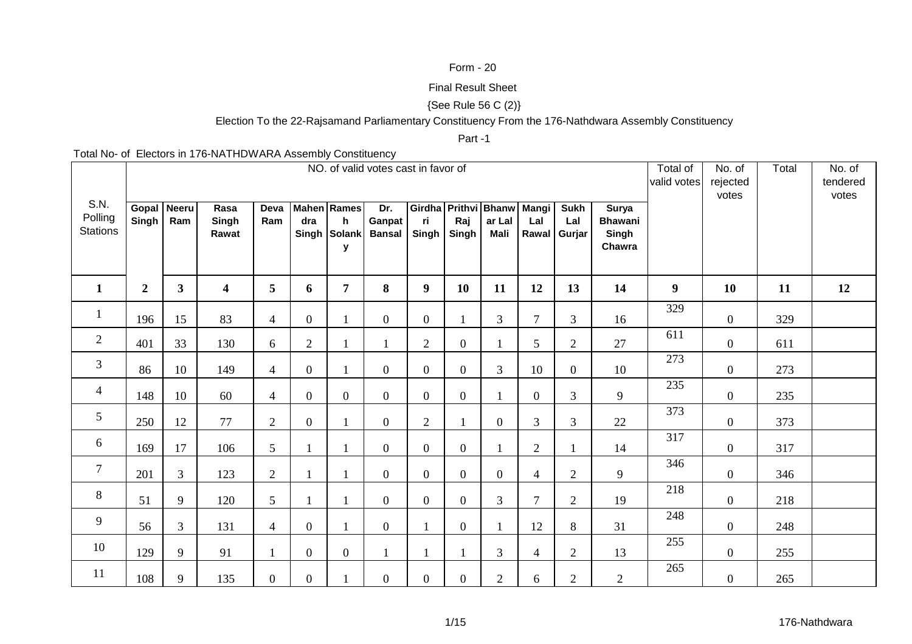## Form - 20

#### Final Result Sheet

# {See Rule 56 C (2)}

# Election To the 22-Rajsamand Parliamentary Constituency From the 176-Nathdwara Assembly Constituency

## Part -1

Total No- of Electors in 176-NATHDWARA Assembly Constituency

|                                    |                            |                |                         |                 |                |                                              | NO. of valid votes cast in favor of |                                    |                  |                |                |                                    |                                                   | Total of<br>valid votes | No. of<br>rejected<br>votes | Total | No. of<br>tendered<br>votes |
|------------------------------------|----------------------------|----------------|-------------------------|-----------------|----------------|----------------------------------------------|-------------------------------------|------------------------------------|------------------|----------------|----------------|------------------------------------|---------------------------------------------------|-------------------------|-----------------------------|-------|-----------------------------|
| S.N.<br>Polling<br><b>Stations</b> | Gopal Neeru<br>$Singh$ Ram |                | Rasa<br>Singh<br>Rawat  | Deva<br>Ram     | dra            | <b>Mahen</b> Rames<br>h<br>Singh Solank<br>y | Dr.<br>Ganpat<br>Bansal Singh       | Girdha Prithvi Bhanw Mangi<br>ri - | Raj<br>Singh     | ar Lal<br>Mali | Lal            | <b>Sukh</b><br>Lal<br>Rawal Gurjar | <b>Surya</b><br><b>Bhawani</b><br>Singh<br>Chawra |                         |                             |       |                             |
| $\mathbf{1}$                       | $\boldsymbol{2}$           | $\mathbf{3}$   | $\overline{\mathbf{4}}$ | $5\phantom{.0}$ | 6              | $\overline{7}$                               | 8                                   | 9                                  | <b>10</b>        | 11             | 12             | 13                                 | 14                                                | 9                       | <b>10</b>                   | 11    | 12                          |
| $\mathbf{1}$                       | 196                        | 15             | 83                      | $\overline{4}$  | $\overline{0}$ |                                              | $\overline{0}$                      | $\overline{0}$                     | $\mathbf{1}$     | $\mathfrak{Z}$ | $\tau$         | $\mathfrak{Z}$                     | 16                                                | 329                     | $\mathbf{0}$                | 329   |                             |
| $\overline{c}$                     | 401                        | 33             | 130                     | 6               | $\overline{2}$ | $\mathbf{1}$                                 | $\mathbf{1}$                        | $\overline{2}$                     | $\mathbf{0}$     |                | 5              | $\mathbf{2}$                       | 27                                                | 611                     | $\boldsymbol{0}$            | 611   |                             |
| $\mathfrak{Z}$                     | 86                         | 10             | 149                     | $\overline{4}$  | $\overline{0}$ | $\mathbf{1}$                                 | $\overline{0}$                      | $\overline{0}$                     | $\mathbf{0}$     | 3              | 10             | $\overline{0}$                     | 10                                                | 273                     | $\overline{0}$              | 273   |                             |
| $\overline{4}$                     | 148                        | 10             | 60                      | $\overline{4}$  | $\overline{0}$ | $\overline{0}$                               | $\overline{0}$                      | $\overline{0}$                     | $\boldsymbol{0}$ |                | $\overline{0}$ | $\overline{3}$                     | 9                                                 | 235                     | $\overline{0}$              | 235   |                             |
| $5\phantom{.0}$                    | 250                        | 12             | 77                      | $\overline{2}$  | $\overline{0}$ |                                              | $\overline{0}$                      | $\overline{2}$                     | $\mathbf{1}$     | $\overline{0}$ | $\overline{3}$ | $\mathfrak{Z}$                     | 22                                                | 373                     | $\overline{0}$              | 373   |                             |
| 6                                  | 169                        | 17             | 106                     | 5               |                |                                              | $\mathbf{0}$                        | $\overline{0}$                     | $\boldsymbol{0}$ |                | $\overline{2}$ | $\mathbf{1}$                       | 14                                                | 317                     | $\boldsymbol{0}$            | 317   |                             |
| $\tau$                             | 201                        | $\overline{3}$ | 123                     | $\overline{2}$  |                |                                              | $\overline{0}$                      | $\overline{0}$                     | $\mathbf{0}$     | $\overline{0}$ | $\overline{4}$ | $\overline{2}$                     | 9                                                 | 346                     | $\overline{0}$              | 346   |                             |
| 8                                  | 51                         | 9              | 120                     | 5               |                |                                              | $\overline{0}$                      | $\overline{0}$                     | $\overline{0}$   | 3              | $\overline{7}$ | $\overline{2}$                     | 19                                                | 218                     | $\overline{0}$              | 218   |                             |
| 9                                  | 56                         | $\overline{3}$ | 131                     | $\overline{4}$  | $\overline{0}$ |                                              | $\overline{0}$                      |                                    | $\mathbf{0}$     |                | 12             | 8                                  | 31                                                | 248                     | $\overline{0}$              | 248   |                             |
| 10                                 | 129                        | 9              | 91                      | $\mathbf{1}$    | $\overline{0}$ | $\overline{0}$                               | 1                                   | $\mathbf{1}$                       | $\mathbf{1}$     | 3              | $\overline{4}$ | 2                                  | 13                                                | 255                     | $\overline{0}$              | 255   |                             |
| 11                                 | 108                        | 9              | 135                     | $\overline{0}$  | $\overline{0}$ |                                              | $\overline{0}$                      | $\overline{0}$                     | $\mathbf{0}$     | $\overline{2}$ | 6              | 2                                  | $\overline{2}$                                    | 265                     | $\overline{0}$              | 265   |                             |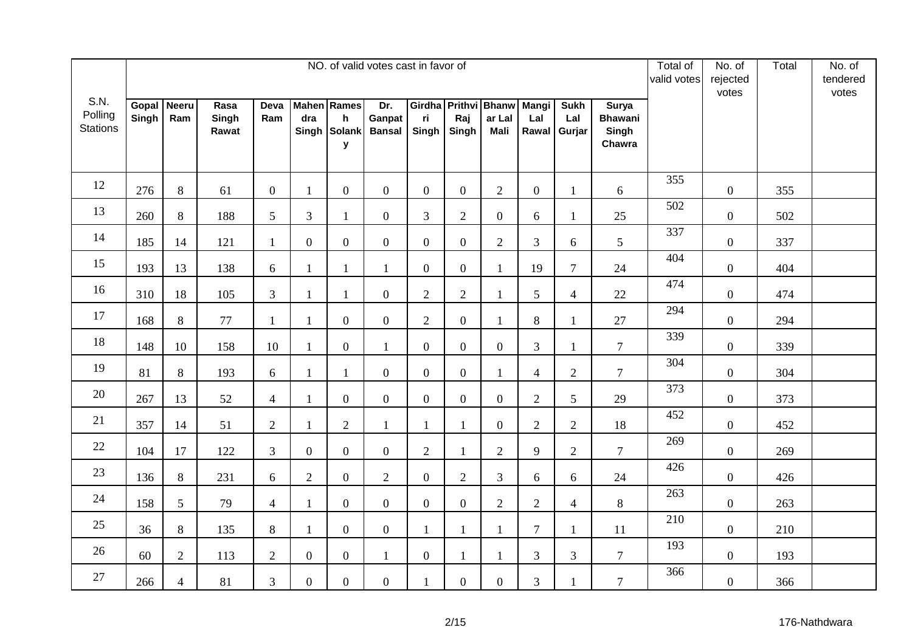|                                    |                |                     |                        |                |                  |                                                         | NO. of valid votes cast in favor of |                |                  |                                               |                              |                              |                                                   | Total of<br>valid votes | No. of<br>rejected<br>votes | Total | No. of<br>tendered<br>votes |
|------------------------------------|----------------|---------------------|------------------------|----------------|------------------|---------------------------------------------------------|-------------------------------------|----------------|------------------|-----------------------------------------------|------------------------------|------------------------------|---------------------------------------------------|-------------------------|-----------------------------|-------|-----------------------------|
| S.N.<br>Polling<br><b>Stations</b> | Gopal<br>Singh | <b>Neeru</b><br>Ram | Rasa<br>Singh<br>Rawat | Deva<br>Ram    | dra              | <b>Mahen</b> Rames<br>$\mathsf{h}$<br>Singh Solank<br>y | Dr.<br>Ganpat<br><b>Bansal</b>      | ri<br>Singh    | Raj<br>Singh     | Girdha Prithvi Bhanw<br>ar Lal<br><b>Mali</b> | <b>Mangi</b><br>Lal<br>Rawal | <b>Sukh</b><br>Lal<br>Gurjar | <b>Surya</b><br><b>Bhawani</b><br>Singh<br>Chawra |                         |                             |       |                             |
| 12                                 | 276            | 8                   | 61                     | $\overline{0}$ | $\mathbf{1}$     | $\boldsymbol{0}$                                        | $\overline{0}$                      | $\overline{0}$ | $\overline{0}$   | $\overline{2}$                                | $\overline{0}$               | 1                            | 6                                                 | 355                     | $\overline{0}$              | 355   |                             |
| 13                                 | 260            | 8                   | 188                    | 5              | 3                | 1                                                       | $\overline{0}$                      | $\overline{3}$ | $\overline{2}$   | $\mathbf{0}$                                  | 6                            | $\mathbf{1}$                 | 25                                                | 502                     | $\boldsymbol{0}$            | 502   |                             |
| 14                                 | 185            | 14                  | 121                    | $\mathbf{1}$   | $\boldsymbol{0}$ | $\mathbf{0}$                                            | $\overline{0}$                      | $\overline{0}$ | $\boldsymbol{0}$ | $\overline{2}$                                | 3                            | 6                            | 5                                                 | 337                     | $\overline{0}$              | 337   |                             |
| 15                                 | 193            | 13                  | 138                    | 6              | $\mathbf{1}$     | $\mathbf{1}$                                            | $\mathbf{1}$                        | $\overline{0}$ | $\overline{0}$   | $\mathbf{1}$                                  | 19                           | $\overline{7}$               | 24                                                | 404                     | $\overline{0}$              | 404   |                             |
| 16                                 | 310            | 18                  | 105                    | $\mathfrak{Z}$ | 1                | $\mathbf{1}$                                            | $\mathbf{0}$                        | $\overline{2}$ | $\mathbf{2}$     | $\mathbf{1}$                                  | 5                            | $\overline{4}$               | $22\,$                                            | 474                     | $\overline{0}$              | 474   |                             |
| 17                                 | 168            | 8                   | 77                     | $\mathbf{1}$   | $\mathbf{1}$     | $\overline{0}$                                          | $\overline{0}$                      | $\overline{2}$ | $\overline{0}$   | $\mathbf{1}$                                  | 8                            | $\mathbf{1}$                 | 27                                                | 294                     | $\boldsymbol{0}$            | 294   |                             |
| 18                                 | 148            | 10                  | 158                    | 10             | $\mathbf{1}$     | $\boldsymbol{0}$                                        | $\mathbf{1}$                        | $\overline{0}$ | $\boldsymbol{0}$ | $\overline{0}$                                | $\overline{3}$               | $\mathbf{1}$                 | $\overline{7}$                                    | 339                     | $\overline{0}$              | 339   |                             |
| 19                                 | 81             | 8                   | 193                    | 6              | $\mathbf{1}$     | $\mathbf{1}$                                            | $\mathbf{0}$                        | $\overline{0}$ | $\boldsymbol{0}$ | 1                                             | $\overline{4}$               | $\sqrt{2}$                   | $\overline{7}$                                    | 304                     | $\boldsymbol{0}$            | 304   |                             |
| 20                                 | 267            | 13                  | 52                     | $\overline{4}$ | $\mathbf{1}$     | $\overline{0}$                                          | $\overline{0}$                      | $\overline{0}$ | $\boldsymbol{0}$ | $\mathbf{0}$                                  | $\overline{2}$               | 5                            | 29                                                | 373                     | $\boldsymbol{0}$            | 373   |                             |
| 21                                 | 357            | 14                  | 51                     | $\overline{2}$ | $\mathbf{1}$     | $\overline{2}$                                          | $\mathbf{1}$                        | $\mathbf{1}$   | $\mathbf{1}$     | $\mathbf{0}$                                  | $\overline{2}$               | $\overline{2}$               | 18                                                | 452                     | $\overline{0}$              | 452   |                             |
| 22                                 | 104            | 17                  | 122                    | 3              | $\boldsymbol{0}$ | $\boldsymbol{0}$                                        | $\overline{0}$                      | $\mathbf{2}$   | $\mathbf{1}$     | $\overline{2}$                                | 9                            | $\sqrt{2}$                   | $\tau$                                            | 269                     | $\boldsymbol{0}$            | 269   |                             |
| 23                                 | 136            | $8\,$               | 231                    | 6              | $\overline{2}$   | $\overline{0}$                                          | $\overline{2}$                      | $\overline{0}$ | $\overline{2}$   | $\overline{3}$                                | 6                            | 6                            | 24                                                | 426                     | $\overline{0}$              | 426   |                             |
| 24                                 | 158            | $5\overline{)}$     | 79                     | $\overline{4}$ | $\mathbf{1}$     | $\overline{0}$                                          | $\overline{0}$                      | $\overline{0}$ | $\boldsymbol{0}$ | $\overline{2}$                                | $\overline{2}$               | $\overline{4}$               | $8\,$                                             | 263                     | $\overline{0}$              | 263   |                             |
| 25                                 | 36             | 8                   | 135                    | $8\,$          | $\mathbf{1}$     | $\boldsymbol{0}$                                        | $\mathbf{0}$                        | $\mathbf{1}$   | $\mathbf{1}$     | $\mathbf{1}$                                  | $\overline{7}$               | 1                            | 11                                                | 210                     | $\boldsymbol{0}$            | 210   |                             |
| 26                                 | 60             | $\overline{2}$      | 113                    | $\overline{2}$ | $\boldsymbol{0}$ | $\boldsymbol{0}$                                        | $\mathbf{1}$                        | $\overline{0}$ | $\mathbf{1}$     | $\mathbf{1}$                                  | 3                            | 3                            | $\tau$                                            | 193                     | $\boldsymbol{0}$            | 193   |                             |
| 27                                 | 266            | $\overline{4}$      | 81                     | 3              | $\boldsymbol{0}$ | $\overline{0}$                                          | $\overline{0}$                      | $\mathbf{1}$   | $\boldsymbol{0}$ | $\overline{0}$                                | 3                            |                              | $\overline{7}$                                    | 366                     | $\boldsymbol{0}$            | 366   |                             |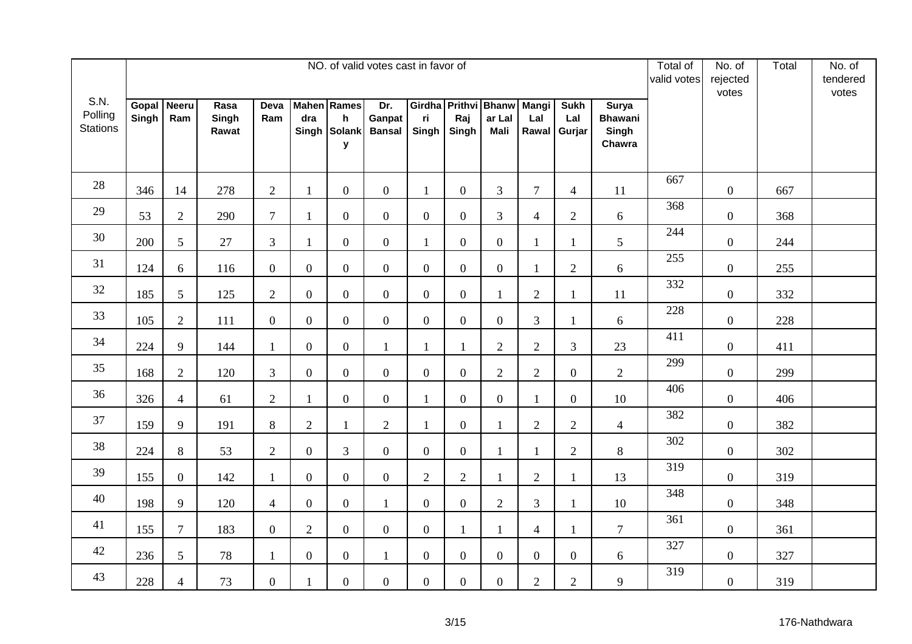|                                    |                |                     |                        |                |                  |                                                         | NO. of valid votes cast in favor of |                |                  |                                               |                              |                              |                                                   | Total of<br>valid votes | No. of<br>rejected<br>votes | Total | No. of<br>tendered<br>votes |
|------------------------------------|----------------|---------------------|------------------------|----------------|------------------|---------------------------------------------------------|-------------------------------------|----------------|------------------|-----------------------------------------------|------------------------------|------------------------------|---------------------------------------------------|-------------------------|-----------------------------|-------|-----------------------------|
| S.N.<br>Polling<br><b>Stations</b> | Gopal<br>Singh | <b>Neeru</b><br>Ram | Rasa<br>Singh<br>Rawat | Deva<br>Ram    | dra              | <b>Mahen</b> Rames<br>$\mathsf{h}$<br>Singh Solank<br>y | Dr.<br>Ganpat<br><b>Bansal</b>      | ri<br>Singh    | Raj<br>Singh     | Girdha Prithvi Bhanw<br>ar Lal<br><b>Mali</b> | <b>Mangi</b><br>Lal<br>Rawal | <b>Sukh</b><br>Lal<br>Gurjar | <b>Surya</b><br><b>Bhawani</b><br>Singh<br>Chawra |                         |                             |       |                             |
| 28                                 | 346            | 14                  | 278                    | 2              | $\mathbf{1}$     | $\boldsymbol{0}$                                        | $\overline{0}$                      | $\mathbf{1}$   | $\boldsymbol{0}$ | 3                                             | $\tau$                       | $\overline{4}$               | 11                                                | 667                     | $\overline{0}$              | 667   |                             |
| 29                                 | 53             | $\overline{2}$      | 290                    | $\overline{7}$ | 1                | $\mathbf{0}$                                            | $\overline{0}$                      | $\mathbf{0}$   | $\boldsymbol{0}$ | $\overline{3}$                                | $\overline{4}$               | $\sqrt{2}$                   | 6                                                 | 368                     | $\boldsymbol{0}$            | 368   |                             |
| 30                                 | 200            | 5                   | 27                     | $\mathfrak{Z}$ | $\mathbf{1}$     | $\mathbf{0}$                                            | $\overline{0}$                      | $\mathbf{1}$   | $\boldsymbol{0}$ | $\overline{0}$                                | $\mathbf{1}$                 | $\mathbf{1}$                 | 5                                                 | 244                     | $\overline{0}$              | 244   |                             |
| 31                                 | 124            | 6                   | 116                    | $\overline{0}$ | $\boldsymbol{0}$ | $\overline{0}$                                          | $\overline{0}$                      | $\overline{0}$ | $\overline{0}$   | $\overline{0}$                                | $\mathbf{1}$                 | $\mathbf{2}$                 | $6\,$                                             | 255                     | $\overline{0}$              | 255   |                             |
| 32                                 | 185            | 5                   | 125                    | $\overline{2}$ | $\overline{0}$   | $\overline{0}$                                          | $\mathbf{0}$                        | $\overline{0}$ | $\boldsymbol{0}$ | $\mathbf{1}$                                  | $\overline{2}$               | 1                            | 11                                                | 332                     | $\boldsymbol{0}$            | 332   |                             |
| 33                                 | 105            | $\overline{2}$      | 111                    | $\mathbf{0}$   | $\overline{0}$   | $\overline{0}$                                          | $\overline{0}$                      | $\overline{0}$ | $\overline{0}$   | $\overline{0}$                                | 3                            | $\mathbf{1}$                 | 6                                                 | 228                     | $\boldsymbol{0}$            | 228   |                             |
| 34                                 | 224            | 9                   | 144                    | $\mathbf{1}$   | $\overline{0}$   | $\boldsymbol{0}$                                        | $\mathbf{1}$                        | $\mathbf{1}$   | $\mathbf{1}$     | $\overline{2}$                                | $\overline{2}$               | 3                            | 23                                                | 411                     | $\overline{0}$              | 411   |                             |
| 35                                 | 168            | $\overline{2}$      | 120                    | $\mathfrak{Z}$ | $\overline{0}$   | $\overline{0}$                                          | $\mathbf{0}$                        | $\mathbf{0}$   | $\boldsymbol{0}$ | $\overline{2}$                                | $\overline{2}$               | $\overline{0}$               | $\mathbf{2}$                                      | 299                     | $\boldsymbol{0}$            | 299   |                             |
| 36                                 | 326            | $\overline{4}$      | 61                     | $\overline{2}$ | $\mathbf{1}$     | $\boldsymbol{0}$                                        | $\overline{0}$                      | $\mathbf{1}$   | $\overline{0}$   | $\overline{0}$                                | $\mathbf{1}$                 | $\overline{0}$               | 10                                                | 406                     | $\boldsymbol{0}$            | 406   |                             |
| 37                                 | 159            | 9                   | 191                    | $8\,$          | $\overline{2}$   | $\mathbf{1}$                                            | $\overline{2}$                      | $\mathbf{1}$   | $\overline{0}$   | 1                                             | $\overline{2}$               | $\overline{2}$               | $\overline{4}$                                    | 382                     | $\overline{0}$              | 382   |                             |
| 38                                 | 224            | $8\,$               | 53                     | $\overline{2}$ | $\boldsymbol{0}$ | $\overline{3}$                                          | $\overline{0}$                      | $\overline{0}$ | $\boldsymbol{0}$ | 1                                             | 1                            | $\mathbf{2}$                 | $8\,$                                             | 302                     | $\boldsymbol{0}$            | 302   |                             |
| 39                                 | 155            | $\overline{0}$      | 142                    | $\mathbf{1}$   | $\boldsymbol{0}$ | $\overline{0}$                                          | $\overline{0}$                      | $\overline{2}$ | $\overline{2}$   | $\mathbf{1}$                                  | $\overline{2}$               | $\mathbf{1}$                 | 13                                                | 319                     | $\overline{0}$              | 319   |                             |
| 40                                 | 198            | 9                   | 120                    | $\overline{4}$ | $\boldsymbol{0}$ | $\overline{0}$                                          | $\mathbf{1}$                        | $\overline{0}$ | $\boldsymbol{0}$ | $\overline{2}$                                | 3                            | 1                            | 10                                                | 348                     | $\overline{0}$              | 348   |                             |
| 41                                 | 155            | $\overline{7}$      | 183                    | $\overline{0}$ | $\sqrt{2}$       | $\mathbf{0}$                                            | $\overline{0}$                      | $\overline{0}$ | $\mathbf{1}$     | $\mathbf{1}$                                  | $\overline{4}$               | 1                            | $\overline{7}$                                    | 361                     | $\boldsymbol{0}$            | 361   |                             |
| 42                                 | 236            | 5                   | $78\,$                 | $\mathbf{1}$   | $\boldsymbol{0}$ | $\mathbf{0}$                                            | $\mathbf{1}$                        | $\overline{0}$ | $\boldsymbol{0}$ | $\mathbf{0}$                                  | $\overline{0}$               | $\mathbf{0}$                 | 6                                                 | 327                     | $\boldsymbol{0}$            | 327   |                             |
| 43                                 | 228            | $\overline{4}$      | 73                     | $\overline{0}$ | $\mathbf{1}$     | $\overline{0}$                                          | $\overline{0}$                      | $\overline{0}$ | $\boldsymbol{0}$ | $\overline{0}$                                | $\overline{2}$               | $\overline{2}$               | 9                                                 | 319                     | $\boldsymbol{0}$            | 319   |                             |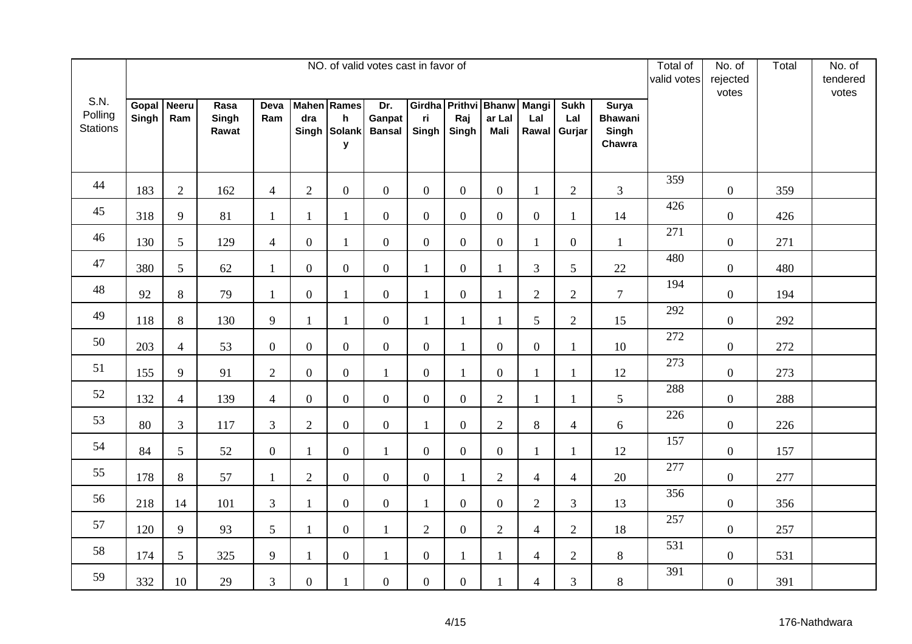|                                    |                |                     |                        |                  |                  |                                                         | NO. of valid votes cast in favor of |                |                  |                                               |                              |                              |                                                   | Total of<br>valid votes | No. of<br>rejected<br>votes | Total | No. of<br>tendered<br>votes |
|------------------------------------|----------------|---------------------|------------------------|------------------|------------------|---------------------------------------------------------|-------------------------------------|----------------|------------------|-----------------------------------------------|------------------------------|------------------------------|---------------------------------------------------|-------------------------|-----------------------------|-------|-----------------------------|
| S.N.<br>Polling<br><b>Stations</b> | Gopal<br>Singh | <b>Neeru</b><br>Ram | Rasa<br>Singh<br>Rawat | Deva<br>Ram      | dra              | <b>Mahen</b> Rames<br>$\mathsf{h}$<br>Singh Solank<br>y | Dr.<br>Ganpat<br><b>Bansal</b>      | ri<br>Singh    | Raj<br>Singh     | Girdha Prithvi Bhanw<br>ar Lal<br><b>Mali</b> | <b>Mangi</b><br>Lal<br>Rawal | <b>Sukh</b><br>Lal<br>Gurjar | <b>Surya</b><br><b>Bhawani</b><br>Singh<br>Chawra |                         |                             |       |                             |
| 44                                 | 183            | 2                   | 162                    | $\overline{4}$   | $\overline{2}$   | $\boldsymbol{0}$                                        | $\overline{0}$                      | $\overline{0}$ | $\overline{0}$   | $\overline{0}$                                | $\mathbf{1}$                 | 2                            | 3                                                 | 359                     | $\overline{0}$              | 359   |                             |
| 45                                 | 318            | 9                   | 81                     | $\mathbf{1}$     | 1                | $\mathbf{1}$                                            | $\overline{0}$                      | $\overline{0}$ | $\boldsymbol{0}$ | $\mathbf{0}$                                  | $\boldsymbol{0}$             | $\mathbf{1}$                 | 14                                                | 426                     | $\boldsymbol{0}$            | 426   |                             |
| 46                                 | 130            | 5                   | 129                    | $\overline{4}$   | $\boldsymbol{0}$ | $\mathbf{1}$                                            | $\overline{0}$                      | $\overline{0}$ | $\boldsymbol{0}$ | $\overline{0}$                                | $\mathbf{1}$                 | $\mathbf{0}$                 | $\mathbf{1}$                                      | 271                     | $\overline{0}$              | 271   |                             |
| 47                                 | 380            | $5\overline{)}$     | 62                     | $\mathbf{1}$     | $\boldsymbol{0}$ | $\overline{0}$                                          | $\overline{0}$                      | $\mathbf{1}$   | $\boldsymbol{0}$ | 1                                             | 3                            | 5                            | 22                                                | 480                     | $\overline{0}$              | 480   |                             |
| 48                                 | 92             | 8                   | 79                     | $\mathbf{1}$     | $\boldsymbol{0}$ | $\mathbf{1}$                                            | $\mathbf{0}$                        | $\mathbf{1}$   | $\boldsymbol{0}$ | $\mathbf{1}$                                  | $\overline{2}$               | $\sqrt{2}$                   | $\overline{7}$                                    | 194                     | $\overline{0}$              | 194   |                             |
| 49                                 | 118            | 8                   | 130                    | 9                | $\mathbf{1}$     | $\mathbf{1}$                                            | $\overline{0}$                      | $\mathbf{1}$   | $\mathbf{1}$     | $\mathbf{1}$                                  | 5                            | $\overline{2}$               | 15                                                | 292                     | $\boldsymbol{0}$            | 292   |                             |
| 50                                 | 203            | $\overline{4}$      | 53                     | $\overline{0}$   | $\overline{0}$   | $\boldsymbol{0}$                                        | $\overline{0}$                      | $\overline{0}$ | $\mathbf{1}$     | $\overline{0}$                                | $\mathbf{0}$                 | $\mathbf{1}$                 | 10                                                | 272                     | $\overline{0}$              | 272   |                             |
| 51                                 | 155            | 9                   | 91                     | $\overline{2}$   | $\overline{0}$   | $\overline{0}$                                          | $\mathbf{1}$                        | $\overline{0}$ | $\mathbf{1}$     | $\mathbf{0}$                                  | $\mathbf{1}$                 | 1                            | 12                                                | 273                     | $\boldsymbol{0}$            | 273   |                             |
| 52                                 | 132            | $\overline{4}$      | 139                    | $\overline{4}$   | $\boldsymbol{0}$ | $\boldsymbol{0}$                                        | $\overline{0}$                      | $\overline{0}$ | $\boldsymbol{0}$ | $\overline{2}$                                | $\mathbf{1}$                 |                              | 5                                                 | 288                     | $\boldsymbol{0}$            | 288   |                             |
| 53                                 | 80             | 3                   | 117                    | 3                | $\overline{2}$   | $\boldsymbol{0}$                                        | $\overline{0}$                      | $\mathbf{1}$   | $\overline{0}$   | $\overline{2}$                                | 8                            | $\overline{4}$               | $6\,$                                             | 226                     | $\overline{0}$              | 226   |                             |
| 54                                 | 84             | $5\overline{)}$     | 52                     | $\boldsymbol{0}$ | $\mathbf{1}$     | $\boldsymbol{0}$                                        | $\mathbf{1}$                        | $\overline{0}$ | $\boldsymbol{0}$ | $\boldsymbol{0}$                              | 1                            | $\mathbf{1}$                 | 12                                                | 157                     | $\boldsymbol{0}$            | 157   |                             |
| 55                                 | 178            | $8\,$               | 57                     | $\mathbf{1}$     | $\overline{2}$   | $\overline{0}$                                          | $\overline{0}$                      | $\overline{0}$ | $\mathbf{1}$     | $\overline{2}$                                | $\overline{4}$               | $\overline{4}$               | 20                                                | 277                     | $\overline{0}$              | 277   |                             |
| 56                                 | 218            | 14                  | 101                    | $\overline{3}$   | $\mathbf{1}$     | $\overline{0}$                                          | $\overline{0}$                      | $\mathbf{1}$   | $\boldsymbol{0}$ | $\overline{0}$                                | $\overline{2}$               | 3                            | 13                                                | 356                     | $\overline{0}$              | 356   |                             |
| 57                                 | 120            | 9                   | 93                     | 5                | $\mathbf{1}$     | $\boldsymbol{0}$                                        | $\mathbf{1}$                        | $\overline{2}$ | $\boldsymbol{0}$ | $\mathbf{2}$                                  | $\overline{4}$               | $\overline{2}$               | 18                                                | 257                     | $\boldsymbol{0}$            | 257   |                             |
| 58                                 | 174            | 5                   | 325                    | 9                | $\mathbf{1}$     | $\boldsymbol{0}$                                        | $\mathbf{1}$                        | $\overline{0}$ | $\mathbf{1}$     | $\mathbf{1}$                                  | $\overline{4}$               | $\overline{2}$               | 8                                                 | 531                     | $\boldsymbol{0}$            | 531   |                             |
| 59                                 | 332            | 10                  | 29                     | 3                | $\boldsymbol{0}$ | $\mathbf{1}$                                            | $\overline{0}$                      | $\overline{0}$ | $\boldsymbol{0}$ |                                               | $\overline{4}$               | 3                            | $8\,$                                             | 391                     | $\boldsymbol{0}$            | 391   |                             |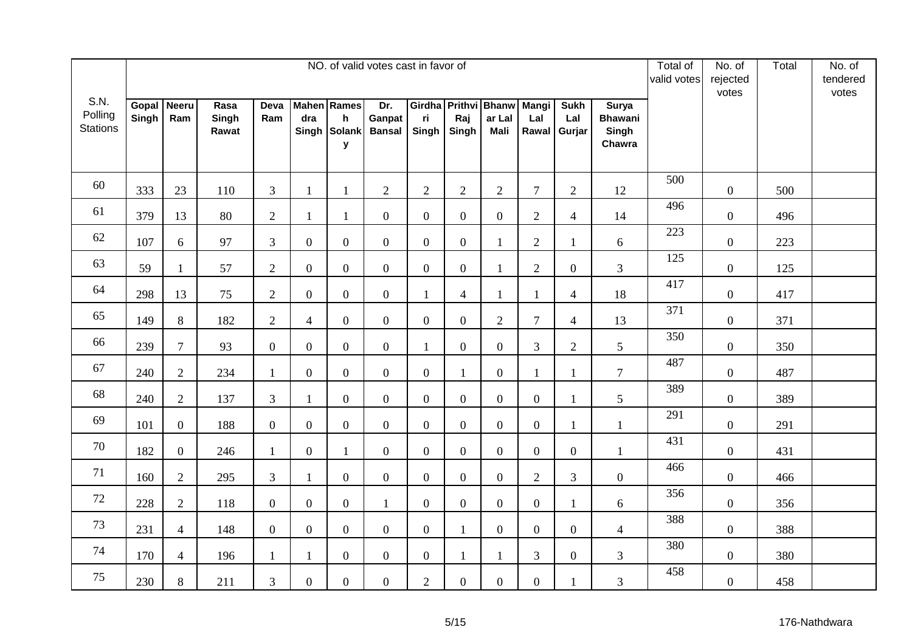|                                    |                |                     |                        |                |                  |                                                         | NO. of valid votes cast in favor of |                |                  |                                               |                              |                              |                                                   | Total of<br>valid votes | No. of<br>rejected<br>votes | Total | No. of<br>tendered<br>votes |
|------------------------------------|----------------|---------------------|------------------------|----------------|------------------|---------------------------------------------------------|-------------------------------------|----------------|------------------|-----------------------------------------------|------------------------------|------------------------------|---------------------------------------------------|-------------------------|-----------------------------|-------|-----------------------------|
| S.N.<br>Polling<br><b>Stations</b> | Gopal<br>Singh | <b>Neeru</b><br>Ram | Rasa<br>Singh<br>Rawat | Deva<br>Ram    | dra              | <b>Mahen</b> Rames<br>$\mathsf{h}$<br>Singh Solank<br>y | Dr.<br>Ganpat<br><b>Bansal</b>      | ri<br>Singh    | Raj<br>Singh     | Girdha Prithvi Bhanw<br>ar Lal<br><b>Mali</b> | <b>Mangi</b><br>Lal<br>Rawal | <b>Sukh</b><br>Lal<br>Gurjar | <b>Surya</b><br><b>Bhawani</b><br>Singh<br>Chawra |                         |                             |       |                             |
| 60                                 | 333            | 23                  | 110                    | 3              | $\mathbf{1}$     | 1                                                       | $\overline{2}$                      | 2              | $\overline{2}$   | $\overline{2}$                                | $\overline{7}$               | $\overline{2}$               | 12                                                | 500                     | $\overline{0}$              | 500   |                             |
| 61                                 | 379            | 13                  | 80                     | $\overline{2}$ | 1                | $\mathbf{1}$                                            | $\overline{0}$                      | $\overline{0}$ | $\boldsymbol{0}$ | $\mathbf{0}$                                  | $\overline{2}$               | $\overline{4}$               | 14                                                | 496                     | $\boldsymbol{0}$            | 496   |                             |
| 62                                 | 107            | 6                   | 97                     | $\mathfrak{Z}$ | $\boldsymbol{0}$ | $\mathbf{0}$                                            | $\overline{0}$                      | $\overline{0}$ | $\boldsymbol{0}$ | 1                                             | $\overline{2}$               | $\mathbf{1}$                 | $6\,$                                             | 223                     | $\overline{0}$              | 223   |                             |
| 63                                 | 59             | $\mathbf{1}$        | 57                     | $\overline{2}$ | $\boldsymbol{0}$ | $\overline{0}$                                          | $\overline{0}$                      | $\overline{0}$ | $\boldsymbol{0}$ | 1                                             | $\overline{2}$               | $\mathbf{0}$                 | $\mathfrak{Z}$                                    | 125                     | $\overline{0}$              | 125   |                             |
| 64                                 | 298            | 13                  | 75                     | $\overline{2}$ | $\boldsymbol{0}$ | $\overline{0}$                                          | $\mathbf{0}$                        | $\mathbf{1}$   | $\overline{4}$   | $\mathbf{1}$                                  | $\mathbf{1}$                 | $\overline{4}$               | 18                                                | 417                     | $\overline{0}$              | 417   |                             |
| 65                                 | 149            | 8                   | 182                    | $\overline{2}$ | $\overline{4}$   | $\overline{0}$                                          | $\overline{0}$                      | $\overline{0}$ | $\overline{0}$   | $\overline{2}$                                | $\overline{7}$               | $\overline{4}$               | 13                                                | 371                     | $\boldsymbol{0}$            | 371   |                             |
| 66                                 | 239            | $\overline{7}$      | 93                     | $\overline{0}$ | $\overline{0}$   | $\boldsymbol{0}$                                        | $\overline{0}$                      | $\mathbf{1}$   | $\boldsymbol{0}$ | $\overline{0}$                                | $\overline{3}$               | $\overline{2}$               | 5                                                 | 350                     | $\overline{0}$              | 350   |                             |
| 67                                 | 240            | $\overline{2}$      | 234                    | $\mathbf{1}$   | $\boldsymbol{0}$ | $\overline{0}$                                          | $\mathbf{0}$                        | $\mathbf{0}$   | $\mathbf{1}$     | $\overline{0}$                                | $\mathbf{1}$                 | 1                            | $\overline{7}$                                    | 487                     | $\boldsymbol{0}$            | 487   |                             |
| 68                                 | 240            | $\overline{2}$      | 137                    | $\overline{3}$ | $\mathbf{1}$     | $\overline{0}$                                          | $\overline{0}$                      | $\overline{0}$ | $\boldsymbol{0}$ | $\overline{0}$                                | $\boldsymbol{0}$             |                              | 5                                                 | 389                     | $\boldsymbol{0}$            | 389   |                             |
| 69                                 | 101            | $\overline{0}$      | 188                    | $\overline{0}$ | $\boldsymbol{0}$ | $\boldsymbol{0}$                                        | $\overline{0}$                      | $\overline{0}$ | $\overline{0}$   | $\overline{0}$                                | $\overline{0}$               | $\mathbf{1}$                 | $\mathbf{1}$                                      | 291                     | $\overline{0}$              | 291   |                             |
| 70                                 | 182            | $\overline{0}$      | 246                    | $\mathbf{1}$   | $\boldsymbol{0}$ | $\mathbf{1}$                                            | $\overline{0}$                      | $\overline{0}$ | $\boldsymbol{0}$ | $\overline{0}$                                | $\boldsymbol{0}$             | $\boldsymbol{0}$             | $\mathbf{1}$                                      | 431                     | $\boldsymbol{0}$            | 431   |                             |
| 71                                 | 160            | $\overline{2}$      | 295                    | $\overline{3}$ | $\mathbf{1}$     | $\overline{0}$                                          | $\overline{0}$                      | $\overline{0}$ | $\boldsymbol{0}$ | $\overline{0}$                                | $\overline{2}$               | 3                            | $\mathbf{0}$                                      | 466                     | $\boldsymbol{0}$            | 466   |                             |
| 72                                 | 228            | $\overline{2}$      | 118                    | $\overline{0}$ | $\boldsymbol{0}$ | $\overline{0}$                                          | $\mathbf{1}$                        | $\overline{0}$ | $\boldsymbol{0}$ | $\overline{0}$                                | $\overline{0}$               | 1                            | 6                                                 | 356                     | $\boldsymbol{0}$            | 356   |                             |
| 73                                 | 231            | $\overline{4}$      | 148                    | $\overline{0}$ | $\overline{0}$   | $\mathbf{0}$                                            | $\overline{0}$                      | $\overline{0}$ | $\mathbf{1}$     | $\overline{0}$                                | $\overline{0}$               | $\overline{0}$               | $\overline{4}$                                    | 388                     | $\boldsymbol{0}$            | 388   |                             |
| 74                                 | 170            | $\overline{4}$      | 196                    | $\mathbf{1}$   | $\mathbf{1}$     | $\boldsymbol{0}$                                        | $\overline{0}$                      | $\overline{0}$ | $\mathbf{1}$     | $\mathbf{1}$                                  | $\overline{3}$               | $\mathbf{0}$                 | $\overline{3}$                                    | 380                     | $\boldsymbol{0}$            | 380   |                             |
| 75                                 | 230            | 8                   | 211                    | 3              | $\boldsymbol{0}$ | $\overline{0}$                                          | $\overline{0}$                      | $\overline{2}$ | $\boldsymbol{0}$ | $\overline{0}$                                | $\boldsymbol{0}$             |                              | 3                                                 | 458                     | $\boldsymbol{0}$            | 458   |                             |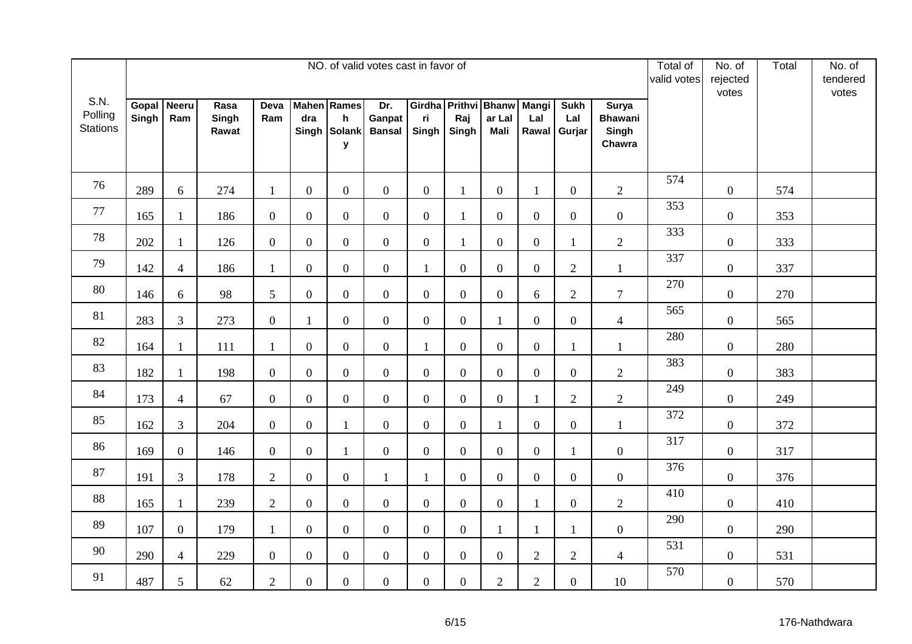|                                    |                |                     |                        |                |                  |                                                         | NO. of valid votes cast in favor of |                |                  |                                               |                              |                              |                                                   | Total of<br>valid votes | No. of<br>rejected<br>votes | Total | No. of<br>tendered<br>votes |
|------------------------------------|----------------|---------------------|------------------------|----------------|------------------|---------------------------------------------------------|-------------------------------------|----------------|------------------|-----------------------------------------------|------------------------------|------------------------------|---------------------------------------------------|-------------------------|-----------------------------|-------|-----------------------------|
| S.N.<br>Polling<br><b>Stations</b> | Gopal<br>Singh | <b>Neeru</b><br>Ram | Rasa<br>Singh<br>Rawat | Deva<br>Ram    | dra              | <b>Mahen</b> Rames<br>$\mathsf{h}$<br>Singh Solank<br>y | Dr.<br>Ganpat<br><b>Bansal</b>      | ri<br>Singh    | Raj<br>Singh     | Girdha Prithvi Bhanw<br>ar Lal<br><b>Mali</b> | <b>Mangi</b><br>Lal<br>Rawal | <b>Sukh</b><br>Lal<br>Gurjar | <b>Surya</b><br><b>Bhawani</b><br>Singh<br>Chawra |                         |                             |       |                             |
| 76                                 | 289            | 6                   | 274                    | $\mathbf{1}$   | $\overline{0}$   | $\boldsymbol{0}$                                        | $\overline{0}$                      | $\overline{0}$ | $\mathbf{1}$     | $\overline{0}$                                | $\mathbf{1}$                 | $\overline{0}$               | $\overline{2}$                                    | 574                     | $\overline{0}$              | 574   |                             |
| 77                                 | 165            | $\mathbf{1}$        | 186                    | $\overline{0}$ | $\overline{0}$   | $\mathbf{0}$                                            | $\overline{0}$                      | $\overline{0}$ | $\mathbf{1}$     | $\overline{0}$                                | $\mathbf{0}$                 | $\boldsymbol{0}$             | $\boldsymbol{0}$                                  | 353                     | $\boldsymbol{0}$            | 353   |                             |
| 78                                 | 202            | $\mathbf{1}$        | 126                    | $\overline{0}$ | $\boldsymbol{0}$ | $\mathbf{0}$                                            | $\overline{0}$                      | $\overline{0}$ | $\mathbf{1}$     | $\overline{0}$                                | $\boldsymbol{0}$             | $\mathbf{1}$                 | $\overline{2}$                                    | 333                     | $\overline{0}$              | 333   |                             |
| 79                                 | 142            | $\overline{4}$      | 186                    | $\mathbf{1}$   | $\boldsymbol{0}$ | $\overline{0}$                                          | $\overline{0}$                      | $\mathbf{1}$   | $\overline{0}$   | $\overline{0}$                                | $\overline{0}$               | $\overline{2}$               | $\mathbf{1}$                                      | 337                     | $\overline{0}$              | 337   |                             |
| 80                                 | 146            | 6                   | 98                     | 5              | $\boldsymbol{0}$ | $\overline{0}$                                          | $\mathbf{0}$                        | $\overline{0}$ | $\boldsymbol{0}$ | $\overline{0}$                                | 6                            | $\mathbf{2}$                 | $\tau$                                            | 270                     | $\overline{0}$              | 270   |                             |
| 81                                 | 283            | $\overline{3}$      | 273                    | $\mathbf{0}$   | $\mathbf{1}$     | $\overline{0}$                                          | $\overline{0}$                      | $\overline{0}$ | $\overline{0}$   | $\mathbf{1}$                                  | $\overline{0}$               | $\mathbf{0}$                 | $\overline{4}$                                    | 565                     | $\boldsymbol{0}$            | 565   |                             |
| 82                                 | 164            | $\mathbf{1}$        | 111                    | $\mathbf{1}$   | $\overline{0}$   | $\boldsymbol{0}$                                        | $\overline{0}$                      | $\mathbf{1}$   | $\boldsymbol{0}$ | $\overline{0}$                                | $\overline{0}$               | $\mathbf{1}$                 | $\mathbf{1}$                                      | 280                     | $\overline{0}$              | 280   |                             |
| 83                                 | 182            | $\mathbf{1}$        | 198                    | $\mathbf{0}$   | $\boldsymbol{0}$ | $\overline{0}$                                          | $\mathbf{0}$                        | $\overline{0}$ | $\boldsymbol{0}$ | $\overline{0}$                                | $\boldsymbol{0}$             | $\overline{0}$               | $\sqrt{2}$                                        | 383                     | $\boldsymbol{0}$            | 383   |                             |
| 84                                 | 173            | $\overline{4}$      | 67                     | $\overline{0}$ | $\boldsymbol{0}$ | $\boldsymbol{0}$                                        | $\overline{0}$                      | $\overline{0}$ | $\boldsymbol{0}$ | $\overline{0}$                                | $\mathbf{1}$                 | $\mathbf{2}$                 | $\mathbf{2}$                                      | 249                     | $\boldsymbol{0}$            | 249   |                             |
| 85                                 | 162            | $\mathfrak{Z}$      | 204                    | $\overline{0}$ | $\boldsymbol{0}$ | $\mathbf{1}$                                            | $\overline{0}$                      | $\overline{0}$ | $\overline{0}$   | 1                                             | $\overline{0}$               | $\mathbf{0}$                 | $\mathbf{1}$                                      | 372                     | $\overline{0}$              | 372   |                             |
| 86                                 | 169            | $\overline{0}$      | 146                    | $\overline{0}$ | $\overline{0}$   | $\mathbf{1}$                                            | $\overline{0}$                      | $\overline{0}$ | $\boldsymbol{0}$ | $\overline{0}$                                | $\boldsymbol{0}$             | $\mathbf{1}$                 | $\boldsymbol{0}$                                  | 317                     | $\boldsymbol{0}$            | 317   |                             |
| 87                                 | 191            | $\mathfrak{Z}$      | 178                    | $\overline{2}$ | $\boldsymbol{0}$ | $\overline{0}$                                          | $\mathbf{1}$                        | $\mathbf{1}$   | $\boldsymbol{0}$ | $\overline{0}$                                | $\mathbf{0}$                 | $\overline{0}$               | $\mathbf{0}$                                      | 376                     | $\boldsymbol{0}$            | 376   |                             |
| 88                                 | 165            | $\mathbf{1}$        | 239                    | $\overline{2}$ | $\boldsymbol{0}$ | $\overline{0}$                                          | $\overline{0}$                      | $\overline{0}$ | $\boldsymbol{0}$ | $\overline{0}$                                | $\mathbf{1}$                 | $\overline{0}$               | $\mathbf{2}$                                      | 410                     | $\boldsymbol{0}$            | 410   |                             |
| 89                                 | 107            | $\mathbf{0}$        | 179                    | $\mathbf{1}$   | $\overline{0}$   | $\boldsymbol{0}$                                        | $\overline{0}$                      | $\overline{0}$ | $\boldsymbol{0}$ | $\mathbf{1}$                                  | $\mathbf{1}$                 | 1                            | $\boldsymbol{0}$                                  | 290                     | $\boldsymbol{0}$            | 290   |                             |
| 90                                 | 290            | $\overline{4}$      | 229                    | $\overline{0}$ | $\boldsymbol{0}$ | $\boldsymbol{0}$                                        | $\overline{0}$                      | $\overline{0}$ | $\boldsymbol{0}$ | $\mathbf{0}$                                  | $\overline{2}$               | $\overline{2}$               | $\overline{4}$                                    | 531                     | $\boldsymbol{0}$            | 531   |                             |
| 91                                 | 487            | 5                   | 62                     | $\overline{2}$ | $\boldsymbol{0}$ | $\overline{0}$                                          | $\overline{0}$                      | $\overline{0}$ | $\boldsymbol{0}$ | $\overline{2}$                                | $\overline{2}$               | $\overline{0}$               | 10                                                | 570                     | $\boldsymbol{0}$            | 570   |                             |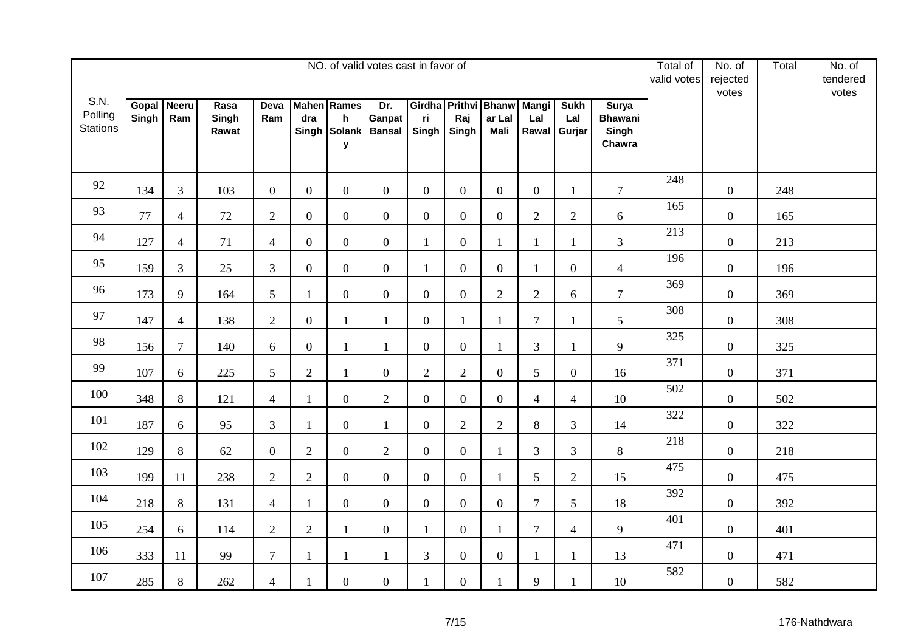|                                    |                |                     |                        |                  |                  |                                                         | NO. of valid votes cast in favor of |                |                  |                                               |                              |                              |                                                   | Total of<br>valid votes | No. of<br>rejected<br>votes | Total | No. of<br>tendered<br>votes |
|------------------------------------|----------------|---------------------|------------------------|------------------|------------------|---------------------------------------------------------|-------------------------------------|----------------|------------------|-----------------------------------------------|------------------------------|------------------------------|---------------------------------------------------|-------------------------|-----------------------------|-------|-----------------------------|
| S.N.<br>Polling<br><b>Stations</b> | Gopal<br>Singh | <b>Neeru</b><br>Ram | Rasa<br>Singh<br>Rawat | Deva<br>Ram      | dra              | <b>Mahen</b> Rames<br>$\mathsf{h}$<br>Singh Solank<br>y | Dr.<br>Ganpat<br><b>Bansal</b>      | ri<br>Singh    | Raj<br>Singh     | Girdha Prithvi Bhanw<br>ar Lal<br><b>Mali</b> | <b>Mangi</b><br>Lal<br>Rawal | <b>Sukh</b><br>Lal<br>Gurjar | <b>Surya</b><br><b>Bhawani</b><br>Singh<br>Chawra |                         |                             |       |                             |
| 92                                 | 134            | $\mathfrak{Z}$      | 103                    | $\overline{0}$   | $\overline{0}$   | $\boldsymbol{0}$                                        | $\overline{0}$                      | $\overline{0}$ | $\overline{0}$   | $\overline{0}$                                | $\overline{0}$               | 1                            | $\overline{7}$                                    | 248                     | $\overline{0}$              | 248   |                             |
| 93                                 | 77             | $\overline{4}$      | 72                     | $\overline{2}$   | $\overline{0}$   | $\mathbf{0}$                                            | $\overline{0}$                      | $\overline{0}$ | $\boldsymbol{0}$ | $\overline{0}$                                | $\overline{2}$               | $\sqrt{2}$                   | 6                                                 | 165                     | $\boldsymbol{0}$            | 165   |                             |
| 94                                 | 127            | $\overline{4}$      | 71                     | $\overline{4}$   | $\boldsymbol{0}$ | $\mathbf{0}$                                            | $\overline{0}$                      | $\mathbf{1}$   | $\boldsymbol{0}$ | 1                                             | $\mathbf{1}$                 | $\mathbf{1}$                 | 3                                                 | 213                     | $\overline{0}$              | 213   |                             |
| 95                                 | 159            | $\mathfrak{Z}$      | 25                     | $\mathfrak{Z}$   | $\boldsymbol{0}$ | $\overline{0}$                                          | $\overline{0}$                      | $\mathbf{1}$   | $\boldsymbol{0}$ | $\overline{0}$                                | $\mathbf{1}$                 | $\mathbf{0}$                 | $\overline{4}$                                    | 196                     | $\overline{0}$              | 196   |                             |
| 96                                 | 173            | 9                   | 164                    | 5                | 1                | $\overline{0}$                                          | $\mathbf{0}$                        | $\overline{0}$ | $\boldsymbol{0}$ | $\overline{2}$                                | $\overline{2}$               | 6                            | $\tau$                                            | 369                     | $\overline{0}$              | 369   |                             |
| 97                                 | 147            | $\overline{4}$      | 138                    | $\overline{2}$   | $\overline{0}$   | $\mathbf{1}$                                            | $\mathbf{1}$                        | $\overline{0}$ | $\mathbf{1}$     | $\mathbf{1}$                                  | $\overline{7}$               |                              | 5                                                 | 308                     | $\boldsymbol{0}$            | 308   |                             |
| 98                                 | 156            | $\overline{7}$      | 140                    | 6                | $\overline{0}$   | $\mathbf{1}$                                            | $\mathbf{1}$                        | $\overline{0}$ | $\boldsymbol{0}$ | $\mathbf{1}$                                  | $\overline{3}$               | $\mathbf{1}$                 | 9                                                 | 325                     | $\overline{0}$              | 325   |                             |
| 99                                 | 107            | 6                   | 225                    | 5                | $\mathbf{2}$     | $\mathbf{1}$                                            | $\mathbf{0}$                        | $\overline{2}$ | $\mathbf{2}$     | $\overline{0}$                                | 5                            | $\overline{0}$               | 16                                                | 371                     | $\boldsymbol{0}$            | 371   |                             |
| 100                                | 348            | 8                   | 121                    | $\overline{4}$   | $\mathbf{1}$     | $\boldsymbol{0}$                                        | $\overline{2}$                      | $\overline{0}$ | $\boldsymbol{0}$ | $\overline{0}$                                | $\overline{4}$               | $\overline{4}$               | 10                                                | 502                     | $\boldsymbol{0}$            | 502   |                             |
| 101                                | 187            | 6                   | 95                     | 3                | $\mathbf{1}$     | $\boldsymbol{0}$                                        | $\mathbf{1}$                        | $\overline{0}$ | $\overline{2}$   | $\overline{2}$                                | $8\,$                        | 3                            | 14                                                | 322                     | $\overline{0}$              | 322   |                             |
| 102                                | 129            | $8\,$               | 62                     | $\boldsymbol{0}$ | $\mathbf{2}$     | $\boldsymbol{0}$                                        | $\sqrt{2}$                          | $\overline{0}$ | $\boldsymbol{0}$ | 1                                             | 3                            | 3                            | $8\,$                                             | 218                     | $\boldsymbol{0}$            | 218   |                             |
| 103                                | 199            | 11                  | 238                    | $\overline{2}$   | $\overline{2}$   | $\mathbf{0}$                                            | $\overline{0}$                      | $\overline{0}$ | $\boldsymbol{0}$ | $\mathbf{1}$                                  | 5                            | $\overline{2}$               | 15                                                | 475                     | $\boldsymbol{0}$            | 475   |                             |
| 104                                | 218            | $8\,$               | 131                    | $\overline{4}$   | $\mathbf{1}$     | $\overline{0}$                                          | $\overline{0}$                      | $\overline{0}$ | $\boldsymbol{0}$ | $\overline{0}$                                | $\overline{7}$               | 5                            | 18                                                | 392                     | $\overline{0}$              | 392   |                             |
| 105                                | 254            | 6                   | 114                    | $\sqrt{2}$       | $\mathbf{2}$     | $\mathbf{1}$                                            | $\mathbf{0}$                        | $\mathbf{1}$   | $\boldsymbol{0}$ | $\mathbf{1}$                                  | $\overline{7}$               | $\overline{4}$               | 9                                                 | 401                     | $\boldsymbol{0}$            | 401   |                             |
| 106                                | 333            | 11                  | 99                     | $\tau$           | $\mathbf{1}$     | $\mathbf{1}$                                            | $\mathbf{1}$                        | 3              | $\boldsymbol{0}$ | $\mathbf{0}$                                  | $\mathbf{1}$                 | $\mathbf{1}$                 | 13                                                | 471                     | $\boldsymbol{0}$            | 471   |                             |
| 107                                | 285            | $8\,$               | 262                    | $\overline{4}$   | $\mathbf{1}$     | $\overline{0}$                                          | $\overline{0}$                      | 1              | $\boldsymbol{0}$ |                                               | 9                            |                              | 10                                                | 582                     | $\boldsymbol{0}$            | 582   |                             |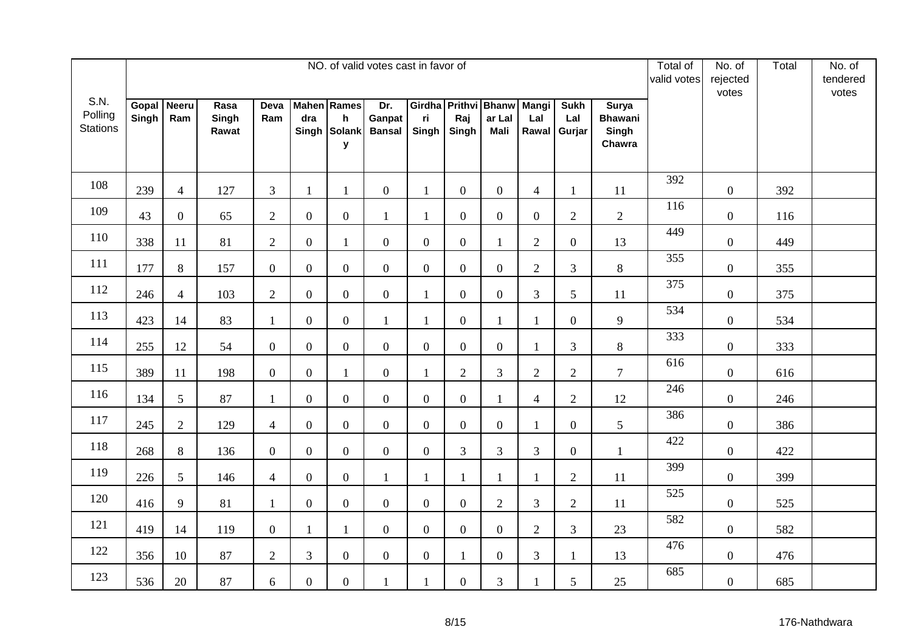|                                    |                |                     |                        |                |                  |                                                         | NO. of valid votes cast in favor of |                |                  |                                               |                              |                              |                                                   | Total of<br>valid votes | No. of<br>rejected<br>votes | Total | No. of<br>tendered<br>votes |
|------------------------------------|----------------|---------------------|------------------------|----------------|------------------|---------------------------------------------------------|-------------------------------------|----------------|------------------|-----------------------------------------------|------------------------------|------------------------------|---------------------------------------------------|-------------------------|-----------------------------|-------|-----------------------------|
| S.N.<br>Polling<br><b>Stations</b> | Gopal<br>Singh | <b>Neeru</b><br>Ram | Rasa<br>Singh<br>Rawat | Deva<br>Ram    | dra              | <b>Mahen</b> Rames<br>$\mathsf{h}$<br>Singh Solank<br>y | Dr.<br>Ganpat<br><b>Bansal</b>      | ri<br>Singh    | Raj<br>Singh     | Girdha Prithvi Bhanw<br>ar Lal<br><b>Mali</b> | <b>Mangi</b><br>Lal<br>Rawal | <b>Sukh</b><br>Lal<br>Gurjar | <b>Surya</b><br><b>Bhawani</b><br>Singh<br>Chawra |                         |                             |       |                             |
| 108                                | 239            | $\overline{4}$      | 127                    | 3              | $\mathbf{1}$     | 1                                                       | $\overline{0}$                      | $\mathbf{1}$   | $\boldsymbol{0}$ | $\overline{0}$                                | $\overline{4}$               | 1                            | 11                                                | 392                     | $\overline{0}$              | 392   |                             |
| 109                                | 43             | $\overline{0}$      | 65                     | $\overline{2}$ | $\boldsymbol{0}$ | $\mathbf{0}$                                            | $\mathbf{1}$                        | $\mathbf{1}$   | $\boldsymbol{0}$ | $\overline{0}$                                | $\overline{0}$               | $\sqrt{2}$                   | $\overline{2}$                                    | 116                     | $\boldsymbol{0}$            | 116   |                             |
| 110                                | 338            | 11                  | 81                     | $\overline{2}$ | $\boldsymbol{0}$ | $\mathbf{1}$                                            | $\overline{0}$                      | $\overline{0}$ | $\boldsymbol{0}$ | 1                                             | $\overline{2}$               | $\boldsymbol{0}$             | 13                                                | 449                     | $\overline{0}$              | 449   |                             |
| 111                                | 177            | 8                   | 157                    | $\overline{0}$ | $\boldsymbol{0}$ | $\overline{0}$                                          | $\overline{0}$                      | $\overline{0}$ | $\boldsymbol{0}$ | $\overline{0}$                                | $\overline{2}$               | 3                            | $8\,$                                             | 355                     | $\overline{0}$              | 355   |                             |
| 112                                | 246            | $\overline{4}$      | 103                    | $\overline{2}$ | $\boldsymbol{0}$ | $\overline{0}$                                          | $\mathbf{0}$                        | $\mathbf{1}$   | $\boldsymbol{0}$ | $\overline{0}$                                | 3                            | 5                            | 11                                                | 375                     | $\overline{0}$              | 375   |                             |
| 113                                | 423            | 14                  | 83                     | $\mathbf{1}$   | $\overline{0}$   | $\overline{0}$                                          | $\mathbf{1}$                        | $\mathbf{1}$   | $\boldsymbol{0}$ | $\mathbf{1}$                                  | $\mathbf{1}$                 | $\mathbf{0}$                 | 9                                                 | 534                     | $\boldsymbol{0}$            | 534   |                             |
| 114                                | 255            | 12                  | 54                     | $\overline{0}$ | $\overline{0}$   | $\boldsymbol{0}$                                        | $\overline{0}$                      | $\overline{0}$ | $\boldsymbol{0}$ | $\overline{0}$                                | $\mathbf{1}$                 | 3                            | 8                                                 | 333                     | $\overline{0}$              | 333   |                             |
| 115                                | 389            | 11                  | 198                    | $\mathbf{0}$   | $\boldsymbol{0}$ | $\mathbf{1}$                                            | $\mathbf{0}$                        | $\mathbf{1}$   | $\mathbf{2}$     | 3                                             | $\overline{2}$               | $\sqrt{2}$                   | $\overline{7}$                                    | 616                     | $\boldsymbol{0}$            | 616   |                             |
| 116                                | 134            | $5\overline{)}$     | 87                     | $\mathbf{1}$   | $\boldsymbol{0}$ | $\overline{0}$                                          | $\overline{0}$                      | $\overline{0}$ | $\boldsymbol{0}$ | $\mathbf{1}$                                  | $\overline{4}$               | $\mathbf{2}$                 | 12                                                | 246                     | $\boldsymbol{0}$            | 246   |                             |
| 117                                | 245            | 2                   | 129                    | $\overline{4}$ | $\boldsymbol{0}$ | $\boldsymbol{0}$                                        | $\overline{0}$                      | $\overline{0}$ | $\overline{0}$   | $\overline{0}$                                | 1                            | $\overline{0}$               | $\mathfrak{S}$                                    | 386                     | $\overline{0}$              | 386   |                             |
| 118                                | 268            | $8\,$               | 136                    | $\overline{0}$ | $\boldsymbol{0}$ | $\boldsymbol{0}$                                        | $\overline{0}$                      | $\overline{0}$ | 3                | 3                                             | $\mathfrak{Z}$               | $\boldsymbol{0}$             | $\mathbf{1}$                                      | 422                     | $\boldsymbol{0}$            | 422   |                             |
| 119                                | 226            | 5                   | 146                    | $\overline{4}$ | $\boldsymbol{0}$ | $\overline{0}$                                          | $\mathbf{1}$                        | $\mathbf{1}$   | $\mathbf{1}$     | $\mathbf{1}$                                  | $\mathbf{1}$                 | $\overline{2}$               | 11                                                | 399                     | $\overline{0}$              | 399   |                             |
| 120                                | 416            | 9                   | 81                     | $\mathbf{1}$   | $\boldsymbol{0}$ | $\overline{0}$                                          | $\overline{0}$                      | $\overline{0}$ | $\boldsymbol{0}$ | $\overline{2}$                                | 3                            | $\overline{2}$               | 11                                                | 525                     | $\overline{0}$              | 525   |                             |
| 121                                | 419            | 14                  | 119                    | $\mathbf{0}$   | $\mathbf{1}$     | $\mathbf{1}$                                            | $\overline{0}$                      | $\overline{0}$ | $\boldsymbol{0}$ | $\overline{0}$                                | $\overline{2}$               | 3                            | 23                                                | 582                     | $\boldsymbol{0}$            | 582   |                             |
| 122                                | 356            | 10                  | 87                     | $\overline{2}$ | $\overline{3}$   | $\mathbf{0}$                                            | $\overline{0}$                      | $\overline{0}$ | $\mathbf{1}$     | $\overline{0}$                                | 3                            | 1                            | 13                                                | 476                     | $\boldsymbol{0}$            | 476   |                             |
| 123                                | 536            | 20                  | 87                     | 6              | $\boldsymbol{0}$ | $\overline{0}$                                          | 1                                   | $\mathbf{1}$   | $\boldsymbol{0}$ | 3                                             | $\mathbf{1}$                 | 5                            | 25                                                | 685                     | $\boldsymbol{0}$            | 685   |                             |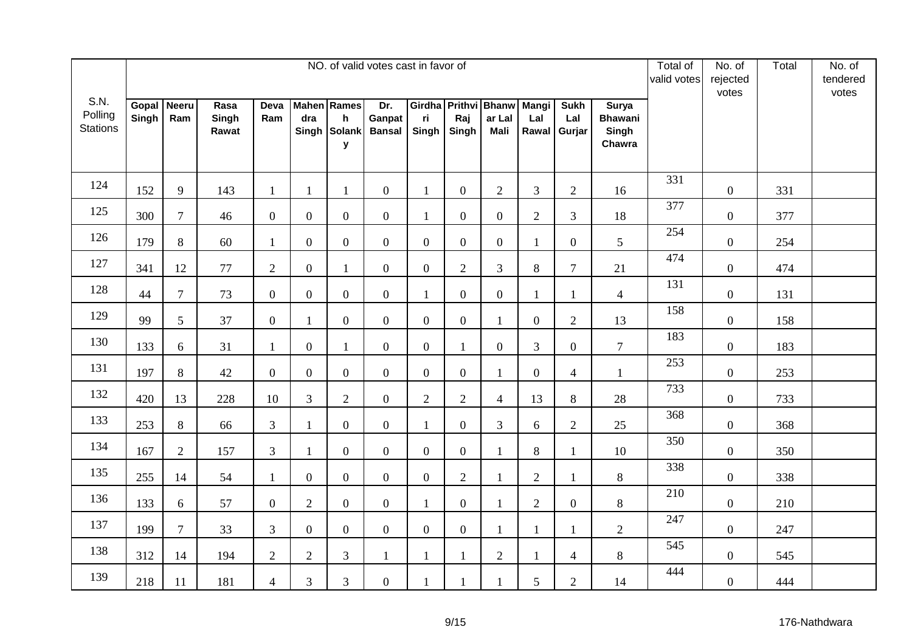|                                    |                |                     |                        |                |                  |                                                         | NO. of valid votes cast in favor of |                |                  |                                               |                              |                              |                                                   | Total of<br>valid votes | No. of<br>rejected<br>votes | Total | No. of<br>tendered<br>votes |
|------------------------------------|----------------|---------------------|------------------------|----------------|------------------|---------------------------------------------------------|-------------------------------------|----------------|------------------|-----------------------------------------------|------------------------------|------------------------------|---------------------------------------------------|-------------------------|-----------------------------|-------|-----------------------------|
| S.N.<br>Polling<br><b>Stations</b> | Gopal<br>Singh | <b>Neeru</b><br>Ram | Rasa<br>Singh<br>Rawat | Deva<br>Ram    | dra              | <b>Mahen</b> Rames<br>$\mathsf{h}$<br>Singh Solank<br>y | Dr.<br>Ganpat<br><b>Bansal</b>      | ri<br>Singh    | Raj<br>Singh     | Girdha Prithvi Bhanw<br>ar Lal<br><b>Mali</b> | <b>Mangi</b><br>Lal<br>Rawal | <b>Sukh</b><br>Lal<br>Gurjar | <b>Surya</b><br><b>Bhawani</b><br>Singh<br>Chawra |                         |                             |       |                             |
| 124                                | 152            | 9                   | 143                    | $\mathbf{1}$   | $\mathbf{1}$     | 1                                                       | $\overline{0}$                      | $\mathbf{1}$   | $\boldsymbol{0}$ | $\overline{2}$                                | 3                            | $\overline{2}$               | 16                                                | 331                     | $\overline{0}$              | 331   |                             |
| 125                                | 300            | $\tau$              | 46                     | $\overline{0}$ | $\boldsymbol{0}$ | $\boldsymbol{0}$                                        | $\overline{0}$                      | $\mathbf{1}$   | $\boldsymbol{0}$ | $\mathbf{0}$                                  | $\overline{2}$               | 3                            | 18                                                | 377                     | $\boldsymbol{0}$            | 377   |                             |
| 126                                | 179            | $8\,$               | 60                     | $\mathbf{1}$   | $\boldsymbol{0}$ | $\mathbf{0}$                                            | $\overline{0}$                      | $\overline{0}$ | $\boldsymbol{0}$ | $\overline{0}$                                | $\mathbf{1}$                 | $\overline{0}$               | 5                                                 | 254                     | $\overline{0}$              | 254   |                             |
| 127                                | 341            | 12                  | 77                     | $\overline{2}$ | $\boldsymbol{0}$ | $\mathbf{1}$                                            | $\overline{0}$                      | $\overline{0}$ | $\overline{2}$   | 3                                             | 8                            | $\overline{7}$               | 21                                                | 474                     | $\overline{0}$              | 474   |                             |
| 128                                | 44             | $\tau$              | 73                     | $\mathbf{0}$   | $\boldsymbol{0}$ | $\overline{0}$                                          | $\mathbf{0}$                        | $\mathbf{1}$   | $\boldsymbol{0}$ | $\overline{0}$                                | $\mathbf{1}$                 | 1                            | $\overline{4}$                                    | 131                     | $\overline{0}$              | 131   |                             |
| 129                                | 99             | 5                   | 37                     | $\overline{0}$ | $\mathbf{1}$     | $\overline{0}$                                          | $\overline{0}$                      | $\overline{0}$ | $\overline{0}$   | $\mathbf{1}$                                  | $\overline{0}$               | $\overline{2}$               | 13                                                | 158                     | $\boldsymbol{0}$            | 158   |                             |
| 130                                | 133            | 6                   | 31                     | 1              | $\overline{0}$   | $\mathbf{1}$                                            | $\overline{0}$                      | $\overline{0}$ | $\mathbf{1}$     | $\overline{0}$                                | $\overline{3}$               | $\overline{0}$               | $\overline{7}$                                    | 183                     | $\overline{0}$              | 183   |                             |
| 131                                | 197            | 8                   | 42                     | $\mathbf{0}$   | $\boldsymbol{0}$ | $\overline{0}$                                          | $\mathbf{0}$                        | $\overline{0}$ | $\boldsymbol{0}$ | 1                                             | $\boldsymbol{0}$             | $\overline{4}$               | $\mathbf{1}$                                      | 253                     | $\boldsymbol{0}$            | 253   |                             |
| 132                                | 420            | 13                  | 228                    | 10             | $\mathfrak{Z}$   | $\overline{2}$                                          | $\overline{0}$                      | $\overline{2}$ | $\overline{2}$   | $\overline{4}$                                | 13                           | 8                            | 28                                                | 733                     | $\boldsymbol{0}$            | 733   |                             |
| 133                                | 253            | 8                   | 66                     | $\overline{3}$ | $\mathbf{1}$     | $\boldsymbol{0}$                                        | $\overline{0}$                      | $\mathbf{1}$   | $\overline{0}$   | 3                                             | 6                            | $\overline{2}$               | 25                                                | 368                     | $\overline{0}$              | 368   |                             |
| 134                                | 167            | $\mathbf{2}$        | 157                    | $\mathfrak{Z}$ | $\mathbf{1}$     | $\boldsymbol{0}$                                        | $\overline{0}$                      | $\overline{0}$ | $\boldsymbol{0}$ | 1                                             | $8\,$                        | $\mathbf{1}$                 | 10                                                | 350                     | $\boldsymbol{0}$            | 350   |                             |
| 135                                | 255            | 14                  | 54                     | $\mathbf{1}$   | $\boldsymbol{0}$ | $\overline{0}$                                          | $\overline{0}$                      | $\overline{0}$ | $\overline{2}$   | $\mathbf{1}$                                  | $\overline{2}$               | $\mathbf{1}$                 | 8                                                 | 338                     | $\overline{0}$              | 338   |                             |
| 136                                | 133            | 6                   | 57                     | $\overline{0}$ | $\overline{2}$   | $\overline{0}$                                          | $\overline{0}$                      | $\mathbf{1}$   | $\boldsymbol{0}$ | 1                                             | $\overline{2}$               | $\overline{0}$               | $8\,$                                             | 210                     | $\boldsymbol{0}$            | 210   |                             |
| 137                                | 199            | $\overline{7}$      | 33                     | $\overline{3}$ | $\overline{0}$   | $\mathbf{0}$                                            | $\mathbf{0}$                        | $\overline{0}$ | $\boldsymbol{0}$ | $\mathbf{1}$                                  | $\mathbf{1}$                 | $\mathbf{1}$                 | $\overline{2}$                                    | 247                     | $\overline{0}$              | 247   |                             |
| 138                                | 312            | 14                  | 194                    | $\overline{2}$ | $\overline{2}$   | 3                                                       | $\mathbf{1}$                        | $\mathbf{1}$   | $\mathbf{1}$     | $\overline{2}$                                | $\mathbf{1}$                 | $\overline{4}$               | 8                                                 | 545                     | $\boldsymbol{0}$            | 545   |                             |
| 139                                | 218            | 11                  | 181                    | $\overline{4}$ | 3                | 3                                                       | $\overline{0}$                      | 1              | $\mathbf{1}$     |                                               | 5                            | $\overline{2}$               | 14                                                | 444                     | $\boldsymbol{0}$            | 444   |                             |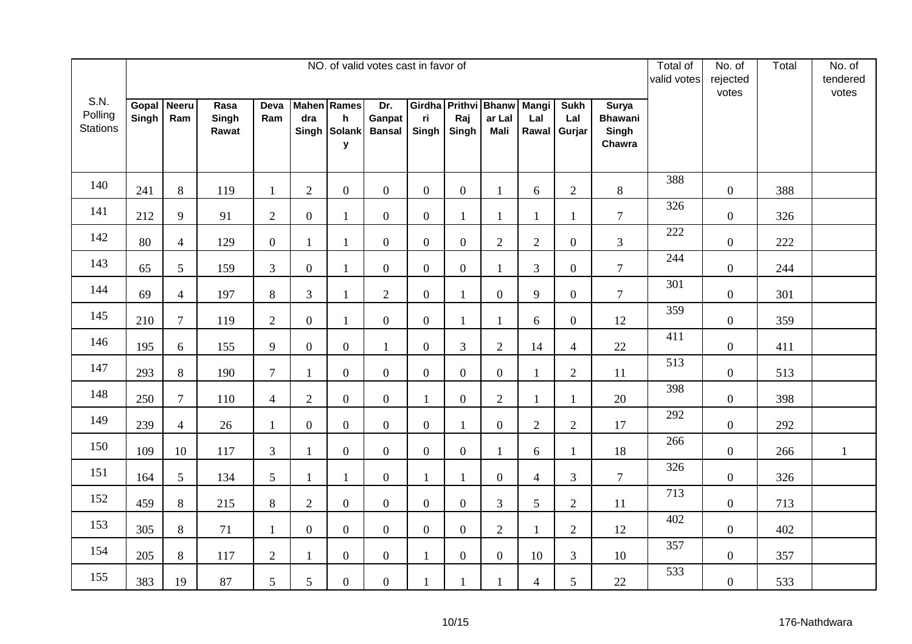|                                    |                |                     |                        |                |                  |                                                         | NO. of valid votes cast in favor of |                |                  |                                               |                              |                              |                                                   | Total of<br>valid votes | No. of<br>rejected<br>votes | Total | No. of<br>tendered<br>votes |
|------------------------------------|----------------|---------------------|------------------------|----------------|------------------|---------------------------------------------------------|-------------------------------------|----------------|------------------|-----------------------------------------------|------------------------------|------------------------------|---------------------------------------------------|-------------------------|-----------------------------|-------|-----------------------------|
| S.N.<br>Polling<br><b>Stations</b> | Gopal<br>Singh | <b>Neeru</b><br>Ram | Rasa<br>Singh<br>Rawat | Deva<br>Ram    | dra              | <b>Mahen</b> Rames<br>$\mathsf{h}$<br>Singh Solank<br>y | Dr.<br>Ganpat<br><b>Bansal</b>      | ri<br>Singh    | Raj<br>Singh     | Girdha Prithvi Bhanw<br>ar Lal<br><b>Mali</b> | <b>Mangi</b><br>Lal<br>Rawal | <b>Sukh</b><br>Lal<br>Gurjar | <b>Surya</b><br><b>Bhawani</b><br>Singh<br>Chawra |                         |                             |       |                             |
| 140                                | 241            | 8                   | 119                    | $\mathbf{1}$   | 2                | $\boldsymbol{0}$                                        | $\overline{0}$                      | $\overline{0}$ | $\boldsymbol{0}$ | 1                                             | 6                            | $\overline{2}$               | 8                                                 | 388                     | $\overline{0}$              | 388   |                             |
| 141                                | 212            | 9                   | 91                     | $\overline{2}$ | $\boldsymbol{0}$ | $\mathbf{1}$                                            | $\overline{0}$                      | $\overline{0}$ | $\mathbf{1}$     | $\mathbf{1}$                                  | $\mathbf{1}$                 | $\mathbf{1}$                 | $\overline{7}$                                    | 326                     | $\boldsymbol{0}$            | 326   |                             |
| 142                                | 80             | $\overline{4}$      | 129                    | $\overline{0}$ | $\mathbf{1}$     | $\mathbf{1}$                                            | $\overline{0}$                      | $\overline{0}$ | $\boldsymbol{0}$ | $\overline{2}$                                | $\overline{2}$               | $\boldsymbol{0}$             | $\mathfrak{Z}$                                    | 222                     | $\overline{0}$              | 222   |                             |
| 143                                | 65             | $5\overline{)}$     | 159                    | $\mathfrak{Z}$ | $\boldsymbol{0}$ | $\mathbf{1}$                                            | $\overline{0}$                      | $\overline{0}$ | $\boldsymbol{0}$ | 1                                             | $\mathfrak{Z}$               | $\boldsymbol{0}$             | $\overline{7}$                                    | 244                     | $\overline{0}$              | 244   |                             |
| 144                                | 69             | $\overline{4}$      | 197                    | $8\,$          | $\overline{3}$   | $\mathbf{1}$                                            | $\overline{2}$                      | $\overline{0}$ | $\mathbf{1}$     | $\overline{0}$                                | 9                            | $\boldsymbol{0}$             | $\overline{7}$                                    | 301                     | $\overline{0}$              | 301   |                             |
| 145                                | 210            | $\overline{7}$      | 119                    | $\overline{2}$ | $\overline{0}$   | $\mathbf{1}$                                            | $\overline{0}$                      | $\overline{0}$ | $\mathbf{1}$     | $\mathbf{1}$                                  | 6                            | $\mathbf{0}$                 | 12                                                | 359                     | $\overline{0}$              | 359   |                             |
| 146                                | 195            | 6                   | 155                    | 9              | $\overline{0}$   | $\boldsymbol{0}$                                        | $\mathbf{1}$                        | $\overline{0}$ | 3                | $\overline{2}$                                | 14                           | $\overline{4}$               | 22                                                | 411                     | $\overline{0}$              | 411   |                             |
| 147                                | 293            | $8\,$               | 190                    | $\overline{7}$ | $\mathbf{1}$     | $\overline{0}$                                          | $\overline{0}$                      | $\mathbf{0}$   | $\boldsymbol{0}$ | $\overline{0}$                                | $\mathbf{1}$                 | $\sqrt{2}$                   | 11                                                | 513                     | $\boldsymbol{0}$            | 513   |                             |
| 148                                | 250            | $\overline{7}$      | 110                    | $\overline{4}$ | $\overline{2}$   | $\boldsymbol{0}$                                        | $\overline{0}$                      | $\mathbf{1}$   | $\boldsymbol{0}$ | $\overline{2}$                                | $\mathbf{1}$                 | $\mathbf{1}$                 | 20                                                | 398                     | $\boldsymbol{0}$            | 398   |                             |
| 149                                | 239            | $\overline{4}$      | 26                     | $\mathbf{1}$   | $\boldsymbol{0}$ | $\boldsymbol{0}$                                        | $\overline{0}$                      | $\overline{0}$ | $\mathbf{1}$     | $\overline{0}$                                | $\overline{2}$               | $\overline{2}$               | 17                                                | 292                     | $\overline{0}$              | 292   |                             |
| 150                                | 109            | 10                  | 117                    | $\mathfrak{Z}$ | $\mathbf{1}$     | $\boldsymbol{0}$                                        | $\overline{0}$                      | $\overline{0}$ | $\boldsymbol{0}$ | 1                                             | 6                            | $\mathbf{1}$                 | 18                                                | 266                     | $\boldsymbol{0}$            | 266   | $\mathbf{1}$                |
| 151                                | 164            | 5                   | 134                    | 5              | $\mathbf{1}$     | $\mathbf{1}$                                            | $\overline{0}$                      | $\mathbf{1}$   | $\mathbf{1}$     | $\mathbf{0}$                                  | $\overline{4}$               | 3                            | $\tau$                                            | 326                     | $\overline{0}$              | 326   |                             |
| 152                                | 459            | 8                   | 215                    | $8\,$          | $\overline{2}$   | $\overline{0}$                                          | $\overline{0}$                      | $\overline{0}$ | $\boldsymbol{0}$ | 3                                             | 5                            | $\overline{2}$               | 11                                                | 713                     | $\boldsymbol{0}$            | 713   |                             |
| 153                                | 305            | $\,8\,$             | 71                     | $\mathbf{1}$   | $\overline{0}$   | $\mathbf{0}$                                            | $\overline{0}$                      | $\overline{0}$ | $\boldsymbol{0}$ | $\mathbf{2}$                                  | $\mathbf{1}$                 | $\sqrt{2}$                   | 12                                                | 402                     | $\boldsymbol{0}$            | 402   |                             |
| 154                                | 205            | 8                   | 117                    | $\overline{2}$ | $\mathbf{1}$     | $\overline{0}$                                          | $\overline{0}$                      | $\mathbf{1}$   | $\boldsymbol{0}$ | $\overline{0}$                                | 10                           | 3                            | 10                                                | 357                     | $\boldsymbol{0}$            | 357   |                             |
| 155                                | 383            | 19                  | 87                     | 5              | 5                | $\overline{0}$                                          | $\overline{0}$                      | $\mathbf{1}$   | $\mathbf{1}$     | 1                                             | $\overline{4}$               | 5                            | 22                                                | 533                     | $\boldsymbol{0}$            | 533   |                             |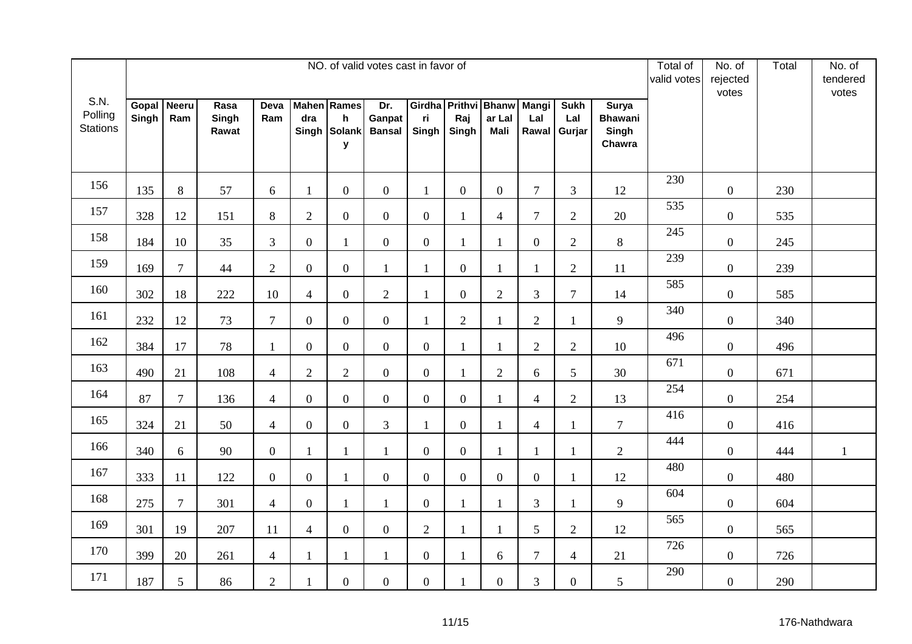|                                    |                |                     |                        |                  |                  |                                                         | NO. of valid votes cast in favor of |                |                  |                                               |                              |                              |                                                   | Total of<br>valid votes | No. of<br>rejected<br>votes | Total | No. of<br>tendered<br>votes |
|------------------------------------|----------------|---------------------|------------------------|------------------|------------------|---------------------------------------------------------|-------------------------------------|----------------|------------------|-----------------------------------------------|------------------------------|------------------------------|---------------------------------------------------|-------------------------|-----------------------------|-------|-----------------------------|
| S.N.<br>Polling<br><b>Stations</b> | Gopal<br>Singh | <b>Neeru</b><br>Ram | Rasa<br>Singh<br>Rawat | Deva<br>Ram      | dra              | <b>Mahen</b> Rames<br>$\mathsf{h}$<br>Singh Solank<br>y | Dr.<br>Ganpat<br><b>Bansal</b>      | ri<br>Singh    | Raj<br>Singh     | Girdha Prithvi Bhanw<br>ar Lal<br><b>Mali</b> | <b>Mangi</b><br>Lal<br>Rawal | <b>Sukh</b><br>Lal<br>Gurjar | <b>Surya</b><br><b>Bhawani</b><br>Singh<br>Chawra |                         |                             |       |                             |
| 156                                | 135            | 8                   | 57                     | 6                | $\mathbf{1}$     | $\boldsymbol{0}$                                        | $\overline{0}$                      | $\mathbf{1}$   | $\boldsymbol{0}$ | $\overline{0}$                                | $\tau$                       | 3                            | 12                                                | 230                     | $\overline{0}$              | 230   |                             |
| 157                                | 328            | 12                  | 151                    | $\,8\,$          | $\overline{2}$   | $\boldsymbol{0}$                                        | $\overline{0}$                      | $\mathbf{0}$   | $\mathbf{1}$     | $\overline{4}$                                | $\overline{7}$               | $\sqrt{2}$                   | 20                                                | 535                     | $\boldsymbol{0}$            | 535   |                             |
| 158                                | 184            | 10                  | 35                     | $\mathfrak{Z}$   | $\boldsymbol{0}$ | $\mathbf{1}$                                            | $\overline{0}$                      | $\overline{0}$ | $\mathbf{1}$     | 1                                             | $\boldsymbol{0}$             | $\mathbf{2}$                 | $8\,$                                             | 245                     | $\overline{0}$              | 245   |                             |
| 159                                | 169            | $\overline{7}$      | 44                     | $\overline{2}$   | $\boldsymbol{0}$ | $\overline{0}$                                          | $\mathbf{1}$                        | $\mathbf{1}$   | $\boldsymbol{0}$ | 1                                             | $\mathbf{1}$                 | $\mathbf{2}$                 | 11                                                | 239                     | $\overline{0}$              | 239   |                             |
| 160                                | 302            | 18                  | 222                    | 10               | $\overline{4}$   | $\overline{0}$                                          | $\overline{2}$                      | $\mathbf{1}$   | $\boldsymbol{0}$ | $\overline{2}$                                | 3                            | $\tau$                       | 14                                                | 585                     | $\boldsymbol{0}$            | 585   |                             |
| 161                                | 232            | 12                  | 73                     | $\overline{7}$   | $\overline{0}$   | $\overline{0}$                                          | $\overline{0}$                      | $\mathbf{1}$   | $\overline{2}$   | $\mathbf{1}$                                  | $\overline{2}$               | $\mathbf{1}$                 | 9                                                 | 340                     | $\boldsymbol{0}$            | 340   |                             |
| 162                                | 384            | 17                  | 78                     | $\mathbf{1}$     | $\overline{0}$   | $\boldsymbol{0}$                                        | $\overline{0}$                      | $\overline{0}$ | $\mathbf{1}$     | $\mathbf{1}$                                  | $\overline{2}$               | $\overline{2}$               | 10                                                | 496                     | $\overline{0}$              | 496   |                             |
| 163                                | 490            | 21                  | 108                    | $\overline{4}$   | $\mathbf{2}$     | $\overline{2}$                                          | $\mathbf{0}$                        | $\mathbf{0}$   | $\mathbf{1}$     | $\overline{2}$                                | 6                            | 5                            | 30                                                | 671                     | $\boldsymbol{0}$            | 671   |                             |
| 164                                | 87             | $\tau$              | 136                    | $\overline{4}$   | $\boldsymbol{0}$ | $\boldsymbol{0}$                                        | $\overline{0}$                      | $\overline{0}$ | $\boldsymbol{0}$ | $\mathbf{1}$                                  | $\overline{4}$               | $\mathbf{2}$                 | 13                                                | 254                     | $\boldsymbol{0}$            | 254   |                             |
| 165                                | 324            | 21                  | 50                     | $\overline{4}$   | $\boldsymbol{0}$ | $\boldsymbol{0}$                                        | 3                                   | $\mathbf{1}$   | $\overline{0}$   | 1                                             | $\overline{4}$               | $\mathbf{1}$                 | $\tau$                                            | 416                     | $\overline{0}$              | 416   |                             |
| 166                                | 340            | 6                   | 90                     | $\boldsymbol{0}$ | $\mathbf{1}$     | 1                                                       | $\mathbf{1}$                        | $\overline{0}$ | $\boldsymbol{0}$ | 1                                             | 1                            | $\mathbf{1}$                 | $\overline{2}$                                    | 444                     | $\boldsymbol{0}$            | 444   | $\mathbf{1}$                |
| 167                                | 333            | 11                  | 122                    | $\mathbf{0}$     | $\boldsymbol{0}$ | $\mathbf{1}$                                            | $\overline{0}$                      | $\overline{0}$ | $\boldsymbol{0}$ | $\overline{0}$                                | $\mathbf{0}$                 | $\mathbf{1}$                 | 12                                                | 480                     | $\boldsymbol{0}$            | 480   |                             |
| 168                                | 275            | $\overline{7}$      | 301                    | $\overline{4}$   | $\boldsymbol{0}$ | $\mathbf{1}$                                            | $\mathbf{1}$                        | $\overline{0}$ | $\mathbf{1}$     | 1                                             | 3                            | 1                            | 9                                                 | 604                     | $\overline{0}$              | 604   |                             |
| 169                                | 301            | 19                  | 207                    | 11               | $\overline{4}$   | $\overline{0}$                                          | $\mathbf{0}$                        | $\overline{2}$ | $\mathbf{1}$     | 1                                             | 5                            | $\sqrt{2}$                   | 12                                                | 565                     | $\boldsymbol{0}$            | 565   |                             |
| 170                                | 399            | 20                  | 261                    | $\overline{4}$   | $\mathbf{1}$     | $\mathbf{1}$                                            | $\mathbf{1}$                        | $\overline{0}$ | $\mathbf{1}$     | 6                                             | $\overline{7}$               | $\overline{4}$               | 21                                                | 726                     | $\boldsymbol{0}$            | 726   |                             |
| 171                                | 187            | 5                   | 86                     | $\overline{2}$   | $\mathbf{1}$     | $\overline{0}$                                          | $\overline{0}$                      | $\overline{0}$ | $\mathbf{1}$     | $\overline{0}$                                | 3                            | $\overline{0}$               | 5                                                 | 290                     | $\boldsymbol{0}$            | 290   |                             |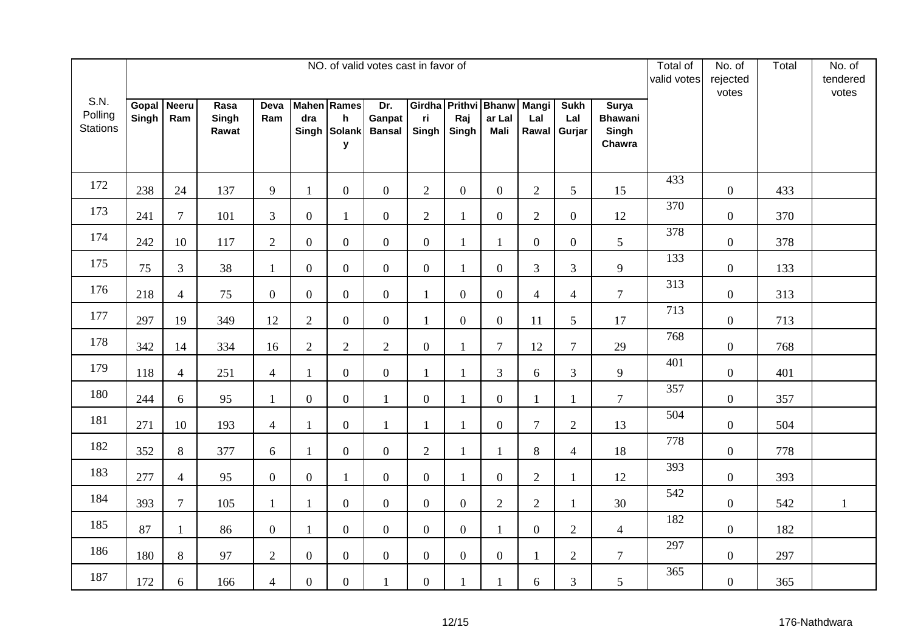|                                    |                |                     |                        |                |                  |                                                         | NO. of valid votes cast in favor of |                |                  |                                               |                              |                              |                                                   | Total of<br>valid votes | No. of<br>rejected<br>votes | Total | No. of<br>tendered<br>votes |
|------------------------------------|----------------|---------------------|------------------------|----------------|------------------|---------------------------------------------------------|-------------------------------------|----------------|------------------|-----------------------------------------------|------------------------------|------------------------------|---------------------------------------------------|-------------------------|-----------------------------|-------|-----------------------------|
| S.N.<br>Polling<br><b>Stations</b> | Gopal<br>Singh | <b>Neeru</b><br>Ram | Rasa<br>Singh<br>Rawat | Deva<br>Ram    | dra              | <b>Mahen</b> Rames<br>$\mathsf{h}$<br>Singh Solank<br>y | Dr.<br>Ganpat<br><b>Bansal</b>      | ri<br>Singh    | Raj<br>Singh     | Girdha Prithvi Bhanw<br>ar Lal<br><b>Mali</b> | <b>Mangi</b><br>Lal<br>Rawal | <b>Sukh</b><br>Lal<br>Gurjar | <b>Surya</b><br><b>Bhawani</b><br>Singh<br>Chawra |                         |                             |       |                             |
| 172                                | 238            | 24                  | 137                    | 9              | $\mathbf{1}$     | $\boldsymbol{0}$                                        | $\overline{0}$                      | 2              | $\overline{0}$   | $\overline{0}$                                | $\overline{2}$               | 5 <sup>5</sup>               | 15                                                | 433                     | $\overline{0}$              | 433   |                             |
| 173                                | 241            | $\tau$              | 101                    | $\overline{3}$ | $\overline{0}$   | $\mathbf{1}$                                            | $\overline{0}$                      | $\overline{2}$ | $\mathbf{1}$     | $\mathbf{0}$                                  | $\overline{2}$               | $\overline{0}$               | 12                                                | 370                     | $\boldsymbol{0}$            | 370   |                             |
| 174                                | 242            | 10                  | 117                    | $\overline{2}$ | $\boldsymbol{0}$ | $\overline{0}$                                          | $\overline{0}$                      | $\overline{0}$ | $\mathbf{1}$     | 1                                             | $\overline{0}$               | $\mathbf{0}$                 | 5                                                 | 378                     | $\overline{0}$              | 378   |                             |
| 175                                | 75             | $\mathfrak{Z}$      | $38\,$                 | $\mathbf{1}$   | $\boldsymbol{0}$ | $\overline{0}$                                          | $\overline{0}$                      | $\overline{0}$ | $\mathbf{1}$     | $\overline{0}$                                | 3                            | 3                            | 9                                                 | 133                     | $\overline{0}$              | 133   |                             |
| 176                                | 218            | $\overline{4}$      | 75                     | $\mathbf{0}$   | $\boldsymbol{0}$ | $\overline{0}$                                          | $\mathbf{0}$                        | $\mathbf{1}$   | $\boldsymbol{0}$ | $\overline{0}$                                | $\overline{4}$               | $\overline{4}$               | $\overline{7}$                                    | 313                     | $\overline{0}$              | 313   |                             |
| 177                                | 297            | 19                  | 349                    | 12             | $\overline{2}$   | $\overline{0}$                                          | $\overline{0}$                      | $\mathbf{1}$   | $\boldsymbol{0}$ | $\overline{0}$                                | 11                           | 5                            | 17                                                | 713                     | $\overline{0}$              | 713   |                             |
| 178                                | 342            | 14                  | 334                    | 16             | $\overline{2}$   | $\overline{2}$                                          | $\overline{2}$                      | $\overline{0}$ | $\mathbf{1}$     | $\overline{7}$                                | 12                           | $\overline{7}$               | 29                                                | 768                     | $\overline{0}$              | 768   |                             |
| 179                                | 118            | $\overline{4}$      | 251                    | $\overline{4}$ | $\mathbf{1}$     | $\overline{0}$                                          | $\mathbf{0}$                        | $\mathbf{1}$   | $\mathbf{1}$     | 3                                             | 6                            | 3                            | 9                                                 | 401                     | $\overline{0}$              | 401   |                             |
| 180                                | 244            | 6                   | 95                     | $\mathbf{1}$   | $\boldsymbol{0}$ | $\boldsymbol{0}$                                        | $\mathbf{1}$                        | $\overline{0}$ | $\mathbf{1}$     | $\overline{0}$                                | $\mathbf{1}$                 |                              | $\overline{7}$                                    | 357                     | $\boldsymbol{0}$            | 357   |                             |
| 181                                | 271            | 10                  | 193                    | $\overline{4}$ | $\mathbf{1}$     | $\boldsymbol{0}$                                        | $\mathbf{1}$                        | $\mathbf{1}$   | 1                | $\mathbf{0}$                                  | $\overline{7}$               | $\overline{2}$               | 13                                                | 504                     | $\overline{0}$              | 504   |                             |
| 182                                | 352            | $8\,$               | 377                    | 6              | $\mathbf{1}$     | $\boldsymbol{0}$                                        | $\overline{0}$                      | $\mathbf{2}$   | $\mathbf{1}$     | 1                                             | $8\,$                        | $\overline{4}$               | 18                                                | 778                     | $\boldsymbol{0}$            | 778   |                             |
| 183                                | 277            | $\overline{4}$      | 95                     | $\mathbf{0}$   | $\boldsymbol{0}$ | 1                                                       | $\overline{0}$                      | $\overline{0}$ | $\mathbf{1}$     | $\mathbf{0}$                                  | $\overline{2}$               | $\mathbf{1}$                 | 12                                                | 393                     | $\overline{0}$              | 393   |                             |
| 184                                | 393            | $\overline{7}$      | 105                    | $\mathbf{1}$   | $\mathbf{1}$     | $\overline{0}$                                          | $\overline{0}$                      | $\overline{0}$ | $\boldsymbol{0}$ | $\overline{2}$                                | $\overline{2}$               | 1                            | 30                                                | 542                     | $\boldsymbol{0}$            | 542   | $\mathbf{1}$                |
| 185                                | 87             | $\mathbf{1}$        | 86                     | $\mathbf{0}$   | $\mathbf{1}$     | $\boldsymbol{0}$                                        | $\overline{0}$                      | $\overline{0}$ | $\boldsymbol{0}$ | $\mathbf{1}$                                  | $\mathbf{0}$                 | $\sqrt{2}$                   | $\overline{4}$                                    | 182                     | $\boldsymbol{0}$            | 182   |                             |
| 186                                | 180            | 8                   | 97                     | $\overline{2}$ | $\boldsymbol{0}$ | $\boldsymbol{0}$                                        | $\overline{0}$                      | $\overline{0}$ | $\boldsymbol{0}$ | $\mathbf{0}$                                  | $\mathbf{1}$                 | $\overline{2}$               | $\overline{7}$                                    | 297                     | $\overline{0}$              | 297   |                             |
| 187                                | 172            | 6                   | 166                    | $\overline{4}$ | $\boldsymbol{0}$ | $\overline{0}$                                          | 1                                   | $\overline{0}$ | $\mathbf{1}$     | 1                                             | 6                            | 3                            | 5                                                 | 365                     | $\boldsymbol{0}$            | 365   |                             |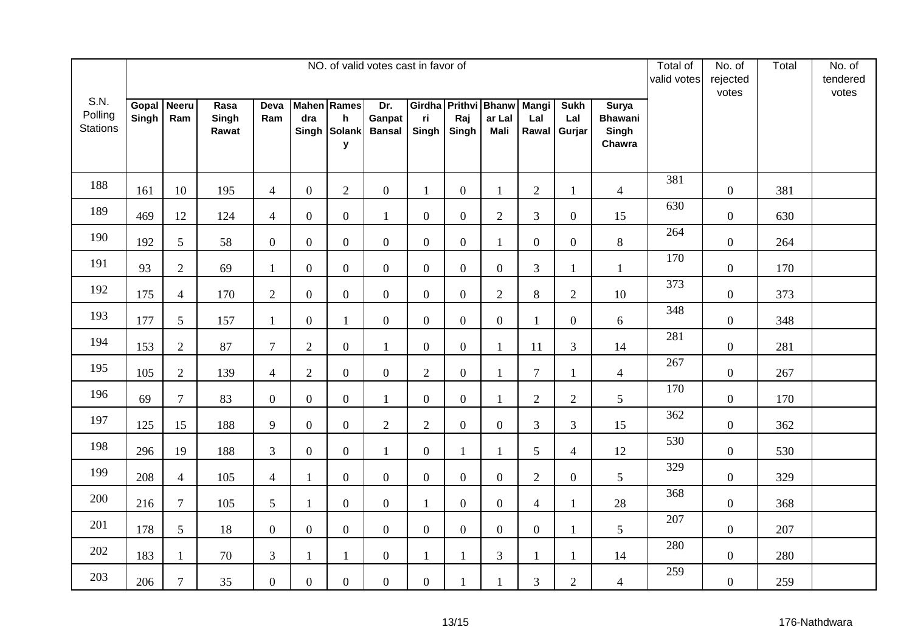|                                    | NO. of valid votes cast in favor of |                     |                        |                |                  |                                                         |                                |                |                  |                                               |                              |                              |                                                   |     | No. of<br>rejected<br>votes | Total | No. of<br>tendered<br>votes |
|------------------------------------|-------------------------------------|---------------------|------------------------|----------------|------------------|---------------------------------------------------------|--------------------------------|----------------|------------------|-----------------------------------------------|------------------------------|------------------------------|---------------------------------------------------|-----|-----------------------------|-------|-----------------------------|
| S.N.<br>Polling<br><b>Stations</b> | Gopal<br>Singh                      | <b>Neeru</b><br>Ram | Rasa<br>Singh<br>Rawat | Deva<br>Ram    | dra              | <b>Mahen</b> Rames<br>$\mathsf{h}$<br>Singh Solank<br>y | Dr.<br>Ganpat<br><b>Bansal</b> | ri<br>Singh    | Raj<br>Singh     | Girdha Prithvi Bhanw<br>ar Lal<br><b>Mali</b> | <b>Mangi</b><br>Lal<br>Rawal | <b>Sukh</b><br>Lal<br>Gurjar | <b>Surya</b><br><b>Bhawani</b><br>Singh<br>Chawra |     |                             |       |                             |
| 188                                | 161                                 | 10                  | 195                    | $\overline{4}$ | $\overline{0}$   | $\mathbf{2}$                                            | $\overline{0}$                 | $\mathbf{1}$   | $\boldsymbol{0}$ | 1                                             | $\overline{2}$               | 1                            | $\overline{4}$                                    | 381 | $\overline{0}$              | 381   |                             |
| 189                                | 469                                 | 12                  | 124                    | $\overline{4}$ | $\boldsymbol{0}$ | $\boldsymbol{0}$                                        | $\mathbf{1}$                   | $\overline{0}$ | $\boldsymbol{0}$ | $\overline{2}$                                | $\overline{3}$               | $\overline{0}$               | 15                                                | 630 | $\boldsymbol{0}$            | 630   |                             |
| 190                                | 192                                 | 5                   | 58                     | $\overline{0}$ | $\boldsymbol{0}$ | $\boldsymbol{0}$                                        | $\overline{0}$                 | $\overline{0}$ | $\boldsymbol{0}$ | 1                                             | $\mathbf{0}$                 | $\mathbf{0}$                 | $8\,$                                             | 264 | $\boldsymbol{0}$            | 264   |                             |
| 191                                | 93                                  | $\overline{2}$      | 69                     | $\mathbf{1}$   | $\boldsymbol{0}$ | $\overline{0}$                                          | $\overline{0}$                 | $\overline{0}$ | $\overline{0}$   | $\overline{0}$                                | 3                            | 1                            | $\mathbf{1}$                                      | 170 | $\overline{0}$              | 170   |                             |
| 192                                | 175                                 | $\overline{4}$      | 170                    | $\overline{2}$ | $\boldsymbol{0}$ | $\overline{0}$                                          | $\mathbf{0}$                   | $\overline{0}$ | $\boldsymbol{0}$ | $\overline{2}$                                | 8                            | $\sqrt{2}$                   | 10                                                | 373 | $\overline{0}$              | 373   |                             |
| 193                                | 177                                 | 5                   | 157                    | $\mathbf{1}$   | $\overline{0}$   | $\mathbf{1}$                                            | $\overline{0}$                 | $\overline{0}$ | $\overline{0}$   | $\overline{0}$                                | $\mathbf{1}$                 | $\mathbf{0}$                 | 6                                                 | 348 | $\overline{0}$              | 348   |                             |
| 194                                | 153                                 | 2                   | 87                     | $\overline{7}$ | $\overline{2}$   | $\boldsymbol{0}$                                        | $\mathbf{1}$                   | $\overline{0}$ | $\boldsymbol{0}$ | 1                                             | 11                           | 3                            | 14                                                | 281 | $\overline{0}$              | 281   |                             |
| 195                                | 105                                 | $\overline{2}$      | 139                    | $\overline{4}$ | $\mathbf{2}$     | $\overline{0}$                                          | $\overline{0}$                 | $\overline{2}$ | $\boldsymbol{0}$ | 1                                             | $\overline{7}$               | 1                            | $\overline{4}$                                    | 267 | $\boldsymbol{0}$            | 267   |                             |
| 196                                | 69                                  | $\overline{7}$      | 83                     | $\overline{0}$ | $\boldsymbol{0}$ | $\boldsymbol{0}$                                        | $\mathbf{1}$                   | $\overline{0}$ | $\boldsymbol{0}$ | $\mathbf{1}$                                  | $\overline{2}$               | $\mathbf{2}$                 | 5                                                 | 170 | $\boldsymbol{0}$            | 170   |                             |
| 197                                | 125                                 | 15                  | 188                    | 9              | $\boldsymbol{0}$ | $\boldsymbol{0}$                                        | $\overline{2}$                 | $\overline{2}$ | $\overline{0}$   | $\overline{0}$                                | 3                            | 3                            | 15                                                | 362 | $\overline{0}$              | 362   |                             |
| 198                                | 296                                 | 19                  | 188                    | $\mathfrak{Z}$ | $\overline{0}$   | $\boldsymbol{0}$                                        | $\mathbf{1}$                   | $\overline{0}$ | $\mathbf{1}$     | 1                                             | 5                            | $\overline{4}$               | 12                                                | 530 | $\boldsymbol{0}$            | 530   |                             |
| 199                                | 208                                 | $\overline{4}$      | 105                    | $\overline{4}$ | $\mathbf{1}$     | $\overline{0}$                                          | $\overline{0}$                 | $\overline{0}$ | $\boldsymbol{0}$ | $\overline{0}$                                | $\overline{2}$               | $\overline{0}$               | 5                                                 | 329 | $\boldsymbol{0}$            | 329   |                             |
| 200                                | 216                                 | $\overline{7}$      | 105                    | 5              | $\mathbf{1}$     | $\overline{0}$                                          | $\overline{0}$                 | $\mathbf{1}$   | $\boldsymbol{0}$ | $\overline{0}$                                | $\overline{4}$               | 1                            | 28                                                | 368 | $\boldsymbol{0}$            | 368   |                             |
| 201                                | 178                                 | 5                   | 18                     | $\overline{0}$ | $\overline{0}$   | $\boldsymbol{0}$                                        | $\overline{0}$                 | $\overline{0}$ | $\boldsymbol{0}$ | $\overline{0}$                                | $\mathbf{0}$                 | -1                           | 5                                                 | 207 | $\boldsymbol{0}$            | 207   |                             |
| 202                                | 183                                 | $\mathbf{1}$        | 70                     | $\overline{3}$ | $\mathbf{1}$     | $\mathbf{1}$                                            | $\overline{0}$                 | $\mathbf{1}$   | $\mathbf{1}$     | $\overline{3}$                                | $\mathbf{1}$                 |                              | 14                                                | 280 | $\boldsymbol{0}$            | 280   |                             |
| 203                                | 206                                 | $\overline{7}$      | 35                     | $\overline{0}$ | $\boldsymbol{0}$ | $\overline{0}$                                          | $\overline{0}$                 | $\overline{0}$ | $\mathbf{1}$     |                                               | 3                            | $\overline{2}$               | $\overline{4}$                                    | 259 | $\boldsymbol{0}$            | 259   |                             |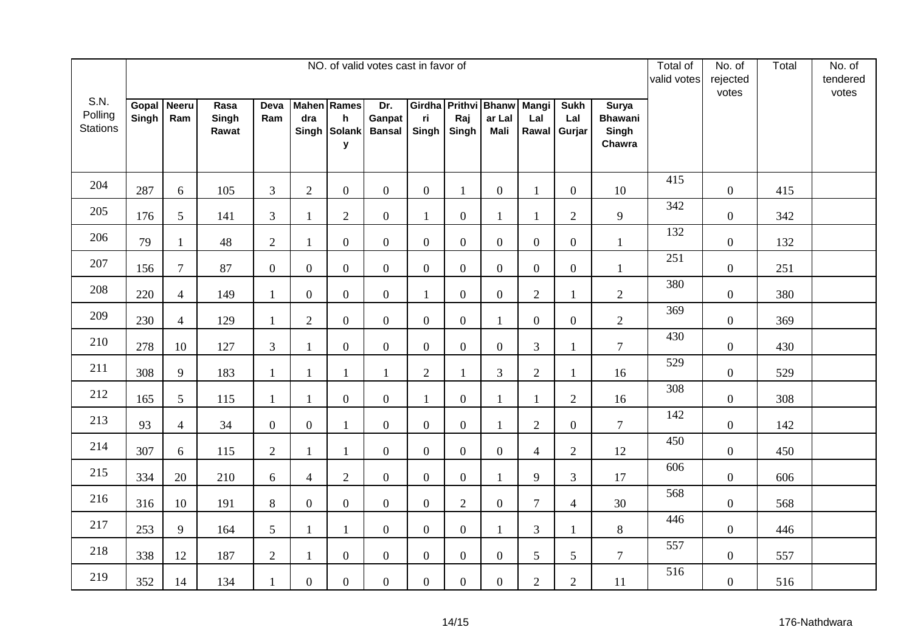|                                    | NO. of valid votes cast in favor of |                     |                        |                |                  |                                                         |                                |                |                  |                                               |                              |                              |                                                   |     | No. of<br>rejected<br>votes | Total | No. of<br>tendered<br>votes |
|------------------------------------|-------------------------------------|---------------------|------------------------|----------------|------------------|---------------------------------------------------------|--------------------------------|----------------|------------------|-----------------------------------------------|------------------------------|------------------------------|---------------------------------------------------|-----|-----------------------------|-------|-----------------------------|
| S.N.<br>Polling<br><b>Stations</b> | Gopal<br>Singh                      | <b>Neeru</b><br>Ram | Rasa<br>Singh<br>Rawat | Deva<br>Ram    | dra              | <b>Mahen</b> Rames<br>$\mathsf{h}$<br>Singh Solank<br>y | Dr.<br>Ganpat<br><b>Bansal</b> | ri<br>Singh    | Raj<br>Singh     | Girdha Prithvi Bhanw<br>ar Lal<br><b>Mali</b> | <b>Mangi</b><br>Lal<br>Rawal | <b>Sukh</b><br>Lal<br>Gurjar | <b>Surya</b><br><b>Bhawani</b><br>Singh<br>Chawra |     |                             |       |                             |
| 204                                | 287                                 | 6                   | 105                    | 3              | 2                | $\boldsymbol{0}$                                        | $\overline{0}$                 | $\overline{0}$ | $\mathbf{1}$     | $\overline{0}$                                | $\mathbf{1}$                 | $\overline{0}$               | 10                                                | 415 | $\overline{0}$              | 415   |                             |
| 205                                | 176                                 | 5                   | 141                    | $\overline{3}$ | 1                | $\overline{2}$                                          | $\overline{0}$                 | $\mathbf{1}$   | $\boldsymbol{0}$ | $\mathbf{1}$                                  | $\mathbf{1}$                 | $\sqrt{2}$                   | 9                                                 | 342 | $\boldsymbol{0}$            | 342   |                             |
| 206                                | 79                                  | $\mathbf{1}$        | 48                     | $\overline{2}$ | $\mathbf{1}$     | $\mathbf{0}$                                            | $\overline{0}$                 | $\overline{0}$ | $\boldsymbol{0}$ | $\overline{0}$                                | $\mathbf{0}$                 | $\boldsymbol{0}$             | $\mathbf{1}$                                      | 132 | $\overline{0}$              | 132   |                             |
| 207                                | 156                                 | $\tau$              | 87                     | $\overline{0}$ | $\boldsymbol{0}$ | $\overline{0}$                                          | $\overline{0}$                 | $\overline{0}$ | $\overline{0}$   | $\overline{0}$                                | $\overline{0}$               | $\overline{0}$               | $\mathbf{1}$                                      | 251 | $\overline{0}$              | 251   |                             |
| 208                                | 220                                 | $\overline{4}$      | 149                    | $\mathbf{1}$   | $\boldsymbol{0}$ | $\overline{0}$                                          | $\mathbf{0}$                   | $\mathbf{1}$   | $\boldsymbol{0}$ | $\overline{0}$                                | $\overline{2}$               | 1                            | $\overline{2}$                                    | 380 | $\overline{0}$              | 380   |                             |
| 209                                | 230                                 | $\overline{4}$      | 129                    | $\mathbf{1}$   | $\overline{2}$   | $\overline{0}$                                          | $\overline{0}$                 | $\overline{0}$ | $\overline{0}$   | $\mathbf{1}$                                  | $\overline{0}$               | $\overline{0}$               | $\overline{2}$                                    | 369 | $\boldsymbol{0}$            | 369   |                             |
| 210                                | 278                                 | 10                  | 127                    | 3              | $\mathbf{1}$     | $\boldsymbol{0}$                                        | $\overline{0}$                 | $\overline{0}$ | $\boldsymbol{0}$ | $\overline{0}$                                | $\overline{3}$               | $\mathbf{1}$                 | $\overline{7}$                                    | 430 | $\overline{0}$              | 430   |                             |
| 211                                | 308                                 | 9                   | 183                    | $\mathbf{1}$   | $\mathbf{1}$     | $\mathbf{1}$                                            | $\mathbf{1}$                   | $\overline{2}$ | $\mathbf{1}$     | 3                                             | $\sqrt{2}$                   | 1                            | 16                                                | 529 | $\boldsymbol{0}$            | 529   |                             |
| 212                                | 165                                 | $5\overline{)}$     | 115                    | $\mathbf{1}$   | $\mathbf{1}$     | $\boldsymbol{0}$                                        | $\overline{0}$                 | $\mathbf{1}$   | $\boldsymbol{0}$ | $\mathbf{1}$                                  | $\mathbf{1}$                 | $\mathbf{2}$                 | 16                                                | 308 | $\boldsymbol{0}$            | 308   |                             |
| 213                                | 93                                  | $\overline{4}$      | 34                     | $\overline{0}$ | $\boldsymbol{0}$ | $\mathbf{1}$                                            | $\overline{0}$                 | $\overline{0}$ | $\overline{0}$   | 1                                             | $\overline{2}$               | $\overline{0}$               | $\overline{7}$                                    | 142 | $\overline{0}$              | 142   |                             |
| 214                                | 307                                 | 6                   | 115                    | $\overline{2}$ | $\mathbf{1}$     | $\mathbf{1}$                                            | $\overline{0}$                 | $\overline{0}$ | $\boldsymbol{0}$ | $\overline{0}$                                | $\overline{4}$               | $\sqrt{2}$                   | 12                                                | 450 | $\boldsymbol{0}$            | 450   |                             |
| 215                                | 334                                 | 20                  | 210                    | 6              | $\overline{4}$   | $\overline{2}$                                          | $\overline{0}$                 | $\overline{0}$ | $\boldsymbol{0}$ | $\mathbf{1}$                                  | 9                            | 3                            | 17                                                | 606 | $\overline{0}$              | 606   |                             |
| 216                                | 316                                 | 10                  | 191                    | $8\,$          | $\boldsymbol{0}$ | $\overline{0}$                                          | $\overline{0}$                 | $\overline{0}$ | $\mathbf{2}$     | $\overline{0}$                                | $\overline{7}$               | $\overline{4}$               | 30                                                | 568 | $\overline{0}$              | 568   |                             |
| 217                                | 253                                 | 9                   | 164                    | 5              | $\mathbf{1}$     | $\mathbf{1}$                                            | $\overline{0}$                 | $\overline{0}$ | $\boldsymbol{0}$ | $\mathbf{1}$                                  | $\mathfrak{Z}$               | 1                            | 8                                                 | 446 | $\boldsymbol{0}$            | 446   |                             |
| 218                                | 338                                 | 12                  | 187                    | $\overline{2}$ | $\mathbf{1}$     | $\overline{0}$                                          | $\overline{0}$                 | $\overline{0}$ | $\boldsymbol{0}$ | $\overline{0}$                                | 5                            | 5                            | $\tau$                                            | 557 | $\boldsymbol{0}$            | 557   |                             |
| 219                                | 352                                 | 14                  | 134                    | $\mathbf{1}$   | $\boldsymbol{0}$ | $\overline{0}$                                          | $\overline{0}$                 | $\overline{0}$ | $\boldsymbol{0}$ | $\overline{0}$                                | $\overline{2}$               | $\overline{2}$               | 11                                                | 516 | $\boldsymbol{0}$            | 516   |                             |